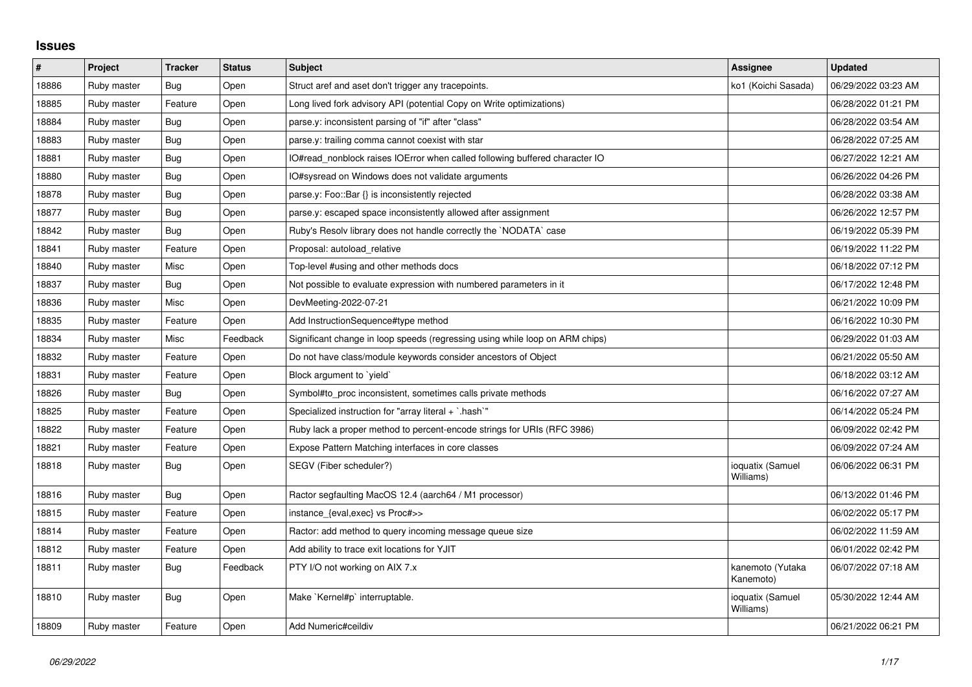## **Issues**

| $\pmb{\#}$ | Project     | <b>Tracker</b> | <b>Status</b> | <b>Subject</b>                                                               | Assignee                      | <b>Updated</b>      |
|------------|-------------|----------------|---------------|------------------------------------------------------------------------------|-------------------------------|---------------------|
| 18886      | Ruby master | Bug            | Open          | Struct aref and aset don't trigger any tracepoints.                          | ko1 (Koichi Sasada)           | 06/29/2022 03:23 AM |
| 18885      | Ruby master | Feature        | Open          | Long lived fork advisory API (potential Copy on Write optimizations)         |                               | 06/28/2022 01:21 PM |
| 18884      | Ruby master | Bug            | Open          | parse.y: inconsistent parsing of "if" after "class"                          |                               | 06/28/2022 03:54 AM |
| 18883      | Ruby master | <b>Bug</b>     | Open          | parse.y: trailing comma cannot coexist with star                             |                               | 06/28/2022 07:25 AM |
| 18881      | Ruby master | Bug            | Open          | IO#read_nonblock raises IOError when called following buffered character IO  |                               | 06/27/2022 12:21 AM |
| 18880      | Ruby master | Bug            | Open          | IO#sysread on Windows does not validate arguments                            |                               | 06/26/2022 04:26 PM |
| 18878      | Ruby master | Bug            | Open          | parse.y: Foo::Bar {} is inconsistently rejected                              |                               | 06/28/2022 03:38 AM |
| 18877      | Ruby master | <b>Bug</b>     | Open          | parse.y: escaped space inconsistently allowed after assignment               |                               | 06/26/2022 12:57 PM |
| 18842      | Ruby master | <b>Bug</b>     | Open          | Ruby's Resolv library does not handle correctly the `NODATA` case            |                               | 06/19/2022 05:39 PM |
| 18841      | Ruby master | Feature        | Open          | Proposal: autoload_relative                                                  |                               | 06/19/2022 11:22 PM |
| 18840      | Ruby master | Misc           | Open          | Top-level #using and other methods docs                                      |                               | 06/18/2022 07:12 PM |
| 18837      | Ruby master | Bug            | Open          | Not possible to evaluate expression with numbered parameters in it           |                               | 06/17/2022 12:48 PM |
| 18836      | Ruby master | Misc           | Open          | DevMeeting-2022-07-21                                                        |                               | 06/21/2022 10:09 PM |
| 18835      | Ruby master | Feature        | Open          | Add InstructionSequence#type method                                          |                               | 06/16/2022 10:30 PM |
| 18834      | Ruby master | Misc           | Feedback      | Significant change in loop speeds (regressing using while loop on ARM chips) |                               | 06/29/2022 01:03 AM |
| 18832      | Ruby master | Feature        | Open          | Do not have class/module keywords consider ancestors of Object               |                               | 06/21/2022 05:50 AM |
| 18831      | Ruby master | Feature        | Open          | Block argument to 'yield'                                                    |                               | 06/18/2022 03:12 AM |
| 18826      | Ruby master | <b>Bug</b>     | Open          | Symbol#to proc inconsistent, sometimes calls private methods                 |                               | 06/16/2022 07:27 AM |
| 18825      | Ruby master | Feature        | Open          | Specialized instruction for "array literal + `.hash`"                        |                               | 06/14/2022 05:24 PM |
| 18822      | Ruby master | Feature        | Open          | Ruby lack a proper method to percent-encode strings for URIs (RFC 3986)      |                               | 06/09/2022 02:42 PM |
| 18821      | Ruby master | Feature        | Open          | Expose Pattern Matching interfaces in core classes                           |                               | 06/09/2022 07:24 AM |
| 18818      | Ruby master | Bug            | Open          | SEGV (Fiber scheduler?)                                                      | ioquatix (Samuel<br>Williams) | 06/06/2022 06:31 PM |
| 18816      | Ruby master | <b>Bug</b>     | Open          | Ractor segfaulting MacOS 12.4 (aarch64 / M1 processor)                       |                               | 06/13/2022 01:46 PM |
| 18815      | Ruby master | Feature        | Open          | instance_{eval,exec} vs Proc#>>                                              |                               | 06/02/2022 05:17 PM |
| 18814      | Ruby master | Feature        | Open          | Ractor: add method to query incoming message queue size                      |                               | 06/02/2022 11:59 AM |
| 18812      | Ruby master | Feature        | Open          | Add ability to trace exit locations for YJIT                                 |                               | 06/01/2022 02:42 PM |
| 18811      | Ruby master | Bug            | Feedback      | PTY I/O not working on AIX 7.x                                               | kanemoto (Yutaka<br>Kanemoto) | 06/07/2022 07:18 AM |
| 18810      | Ruby master | Bug            | Open          | Make `Kernel#p` interruptable.                                               | ioquatix (Samuel<br>Williams) | 05/30/2022 12:44 AM |
| 18809      | Ruby master | Feature        | Open          | Add Numeric#ceildiv                                                          |                               | 06/21/2022 06:21 PM |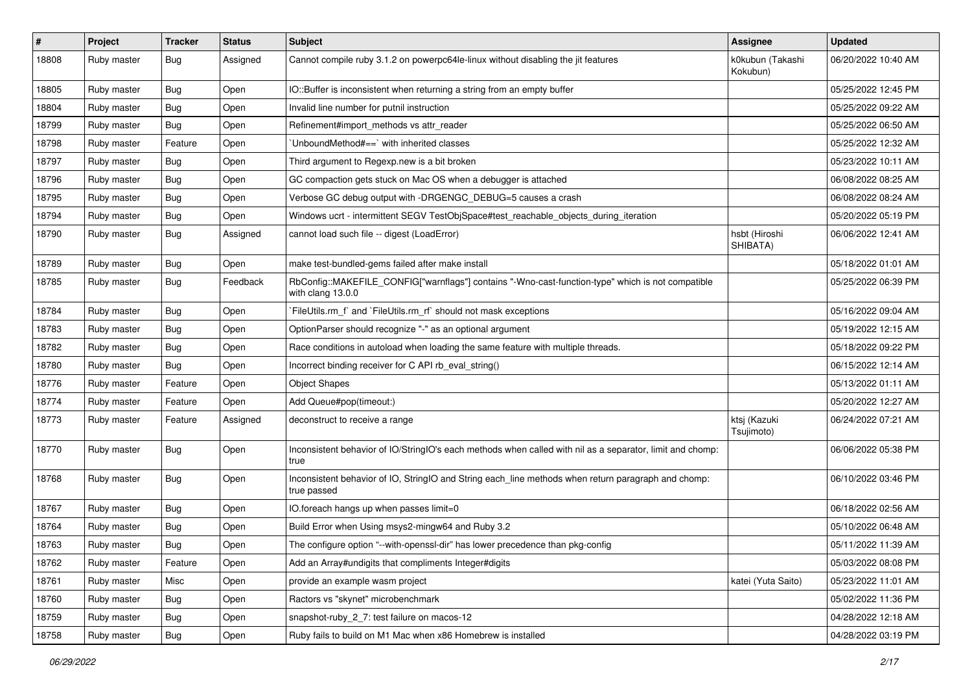| $\sharp$ | Project     | <b>Tracker</b> | <b>Status</b> | <b>Subject</b>                                                                                                         | <b>Assignee</b>              | <b>Updated</b>      |
|----------|-------------|----------------|---------------|------------------------------------------------------------------------------------------------------------------------|------------------------------|---------------------|
| 18808    | Ruby master | <b>Bug</b>     | Assigned      | Cannot compile ruby 3.1.2 on powerpc64le-linux without disabling the jit features                                      | k0kubun (Takashi<br>Kokubun) | 06/20/2022 10:40 AM |
| 18805    | Ruby master | <b>Bug</b>     | Open          | IO::Buffer is inconsistent when returning a string from an empty buffer                                                |                              | 05/25/2022 12:45 PM |
| 18804    | Ruby master | <b>Bug</b>     | Open          | Invalid line number for putnil instruction                                                                             |                              | 05/25/2022 09:22 AM |
| 18799    | Ruby master | <b>Bug</b>     | Open          | Refinement#import_methods vs attr_reader                                                                               |                              | 05/25/2022 06:50 AM |
| 18798    | Ruby master | Feature        | Open          | 'UnboundMethod#==' with inherited classes                                                                              |                              | 05/25/2022 12:32 AM |
| 18797    | Ruby master | Bug            | Open          | Third argument to Regexp.new is a bit broken                                                                           |                              | 05/23/2022 10:11 AM |
| 18796    | Ruby master | <b>Bug</b>     | Open          | GC compaction gets stuck on Mac OS when a debugger is attached                                                         |                              | 06/08/2022 08:25 AM |
| 18795    | Ruby master | Bug            | Open          | Verbose GC debug output with -DRGENGC_DEBUG=5 causes a crash                                                           |                              | 06/08/2022 08:24 AM |
| 18794    | Ruby master | <b>Bug</b>     | Open          | Windows ucrt - intermittent SEGV TestObjSpace#test_reachable_objects_during_iteration                                  |                              | 05/20/2022 05:19 PM |
| 18790    | Ruby master | Bug            | Assigned      | cannot load such file -- digest (LoadError)                                                                            | hsbt (Hiroshi<br>SHIBATA)    | 06/06/2022 12:41 AM |
| 18789    | Ruby master | <b>Bug</b>     | Open          | make test-bundled-gems failed after make install                                                                       |                              | 05/18/2022 01:01 AM |
| 18785    | Ruby master | Bug            | Feedback      | RbConfig::MAKEFILE_CONFIG["warnflags"] contains "-Wno-cast-function-type" which is not compatible<br>with clang 13.0.0 |                              | 05/25/2022 06:39 PM |
| 18784    | Ruby master | <b>Bug</b>     | Open          | FileUtils.rm_f` and `FileUtils.rm_rf` should not mask exceptions                                                       |                              | 05/16/2022 09:04 AM |
| 18783    | Ruby master | <b>Bug</b>     | Open          | OptionParser should recognize "-" as an optional argument                                                              |                              | 05/19/2022 12:15 AM |
| 18782    | Ruby master | <b>Bug</b>     | Open          | Race conditions in autoload when loading the same feature with multiple threads.                                       |                              | 05/18/2022 09:22 PM |
| 18780    | Ruby master | Bug            | Open          | Incorrect binding receiver for C API rb_eval_string()                                                                  |                              | 06/15/2022 12:14 AM |
| 18776    | Ruby master | Feature        | Open          | <b>Object Shapes</b>                                                                                                   |                              | 05/13/2022 01:11 AM |
| 18774    | Ruby master | Feature        | Open          | Add Queue#pop(timeout:)                                                                                                |                              | 05/20/2022 12:27 AM |
| 18773    | Ruby master | Feature        | Assigned      | deconstruct to receive a range                                                                                         | ktsj (Kazuki<br>Tsujimoto)   | 06/24/2022 07:21 AM |
| 18770    | Ruby master | <b>Bug</b>     | Open          | Inconsistent behavior of IO/StringIO's each methods when called with nil as a separator, limit and chomp:<br>true      |                              | 06/06/2022 05:38 PM |
| 18768    | Ruby master | Bug            | Open          | Inconsistent behavior of IO, StringIO and String each_line methods when return paragraph and chomp:<br>true passed     |                              | 06/10/2022 03:46 PM |
| 18767    | Ruby master | Bug            | Open          | IO.foreach hangs up when passes limit=0                                                                                |                              | 06/18/2022 02:56 AM |
| 18764    | Ruby master | <b>Bug</b>     | Open          | Build Error when Using msys2-mingw64 and Ruby 3.2                                                                      |                              | 05/10/2022 06:48 AM |
| 18763    | Ruby master | Bug            | Open          | The configure option "--with-openssl-dir" has lower precedence than pkg-config                                         |                              | 05/11/2022 11:39 AM |
| 18762    | Ruby master | Feature        | Open          | Add an Array#undigits that compliments Integer#digits                                                                  |                              | 05/03/2022 08:08 PM |
| 18761    | Ruby master | Misc           | Open          | provide an example wasm project                                                                                        | katei (Yuta Saito)           | 05/23/2022 11:01 AM |
| 18760    | Ruby master | <b>Bug</b>     | Open          | Ractors vs "skynet" microbenchmark                                                                                     |                              | 05/02/2022 11:36 PM |
| 18759    | Ruby master | <b>Bug</b>     | Open          | snapshot-ruby_2_7: test failure on macos-12                                                                            |                              | 04/28/2022 12:18 AM |
| 18758    | Ruby master | <b>Bug</b>     | Open          | Ruby fails to build on M1 Mac when x86 Homebrew is installed                                                           |                              | 04/28/2022 03:19 PM |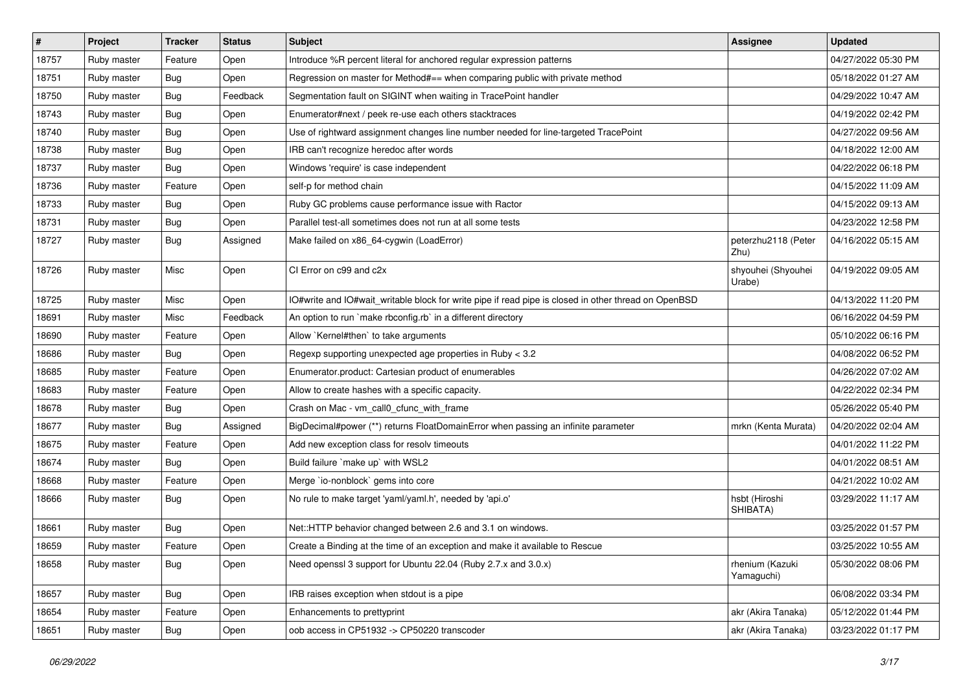| $\vert$ # | Project     | <b>Tracker</b> | <b>Status</b> | <b>Subject</b>                                                                                       | <b>Assignee</b>               | <b>Updated</b>      |
|-----------|-------------|----------------|---------------|------------------------------------------------------------------------------------------------------|-------------------------------|---------------------|
| 18757     | Ruby master | Feature        | Open          | Introduce %R percent literal for anchored regular expression patterns                                |                               | 04/27/2022 05:30 PM |
| 18751     | Ruby master | <b>Bug</b>     | Open          | Regression on master for Method#== when comparing public with private method                         |                               | 05/18/2022 01:27 AM |
| 18750     | Ruby master | <b>Bug</b>     | Feedback      | Segmentation fault on SIGINT when waiting in TracePoint handler                                      |                               | 04/29/2022 10:47 AM |
| 18743     | Ruby master | <b>Bug</b>     | Open          | Enumerator#next / peek re-use each others stacktraces                                                |                               | 04/19/2022 02:42 PM |
| 18740     | Ruby master | <b>Bug</b>     | Open          | Use of rightward assignment changes line number needed for line-targeted TracePoint                  |                               | 04/27/2022 09:56 AM |
| 18738     | Ruby master | <b>Bug</b>     | Open          | IRB can't recognize heredoc after words                                                              |                               | 04/18/2022 12:00 AM |
| 18737     | Ruby master | <b>Bug</b>     | Open          | Windows 'require' is case independent                                                                |                               | 04/22/2022 06:18 PM |
| 18736     | Ruby master | Feature        | Open          | self-p for method chain                                                                              |                               | 04/15/2022 11:09 AM |
| 18733     | Ruby master | <b>Bug</b>     | Open          | Ruby GC problems cause performance issue with Ractor                                                 |                               | 04/15/2022 09:13 AM |
| 18731     | Ruby master | Bug            | Open          | Parallel test-all sometimes does not run at all some tests                                           |                               | 04/23/2022 12:58 PM |
| 18727     | Ruby master | Bug            | Assigned      | Make failed on x86_64-cygwin (LoadError)                                                             | peterzhu2118 (Peter<br>Zhu)   | 04/16/2022 05:15 AM |
| 18726     | Ruby master | Misc           | Open          | CI Error on c99 and c2x                                                                              | shyouhei (Shyouhei<br>Urabe)  | 04/19/2022 09:05 AM |
| 18725     | Ruby master | Misc           | Open          | IO#write and IO#wait_writable block for write pipe if read pipe is closed in other thread on OpenBSD |                               | 04/13/2022 11:20 PM |
| 18691     | Ruby master | Misc           | Feedback      | An option to run `make rbconfig.rb` in a different directory                                         |                               | 06/16/2022 04:59 PM |
| 18690     | Ruby master | Feature        | Open          | Allow `Kernel#then` to take arguments                                                                |                               | 05/10/2022 06:16 PM |
| 18686     | Ruby master | Bug            | Open          | Regexp supporting unexpected age properties in Ruby < 3.2                                            |                               | 04/08/2022 06:52 PM |
| 18685     | Ruby master | Feature        | Open          | Enumerator.product: Cartesian product of enumerables                                                 |                               | 04/26/2022 07:02 AM |
| 18683     | Ruby master | Feature        | Open          | Allow to create hashes with a specific capacity.                                                     |                               | 04/22/2022 02:34 PM |
| 18678     | Ruby master | <b>Bug</b>     | Open          | Crash on Mac - vm_call0_cfunc_with_frame                                                             |                               | 05/26/2022 05:40 PM |
| 18677     | Ruby master | <b>Bug</b>     | Assigned      | BigDecimal#power (**) returns FloatDomainError when passing an infinite parameter                    | mrkn (Kenta Murata)           | 04/20/2022 02:04 AM |
| 18675     | Ruby master | Feature        | Open          | Add new exception class for resolv timeouts                                                          |                               | 04/01/2022 11:22 PM |
| 18674     | Ruby master | <b>Bug</b>     | Open          | Build failure `make up` with WSL2                                                                    |                               | 04/01/2022 08:51 AM |
| 18668     | Ruby master | Feature        | Open          | Merge `io-nonblock` gems into core                                                                   |                               | 04/21/2022 10:02 AM |
| 18666     | Ruby master | <b>Bug</b>     | Open          | No rule to make target 'yaml/yaml.h', needed by 'api.o'                                              | hsbt (Hiroshi<br>SHIBATA)     | 03/29/2022 11:17 AM |
| 18661     | Ruby master | <b>Bug</b>     | Open          | Net::HTTP behavior changed between 2.6 and 3.1 on windows.                                           |                               | 03/25/2022 01:57 PM |
| 18659     | Ruby master | Feature        | Open          | Create a Binding at the time of an exception and make it available to Rescue                         |                               | 03/25/2022 10:55 AM |
| 18658     | Ruby master | <b>Bug</b>     | Open          | Need openssl 3 support for Ubuntu 22.04 (Ruby 2.7.x and 3.0.x)                                       | rhenium (Kazuki<br>Yamaguchi) | 05/30/2022 08:06 PM |
| 18657     | Ruby master | Bug            | Open          | IRB raises exception when stdout is a pipe                                                           |                               | 06/08/2022 03:34 PM |
| 18654     | Ruby master | Feature        | Open          | Enhancements to prettyprint                                                                          | akr (Akira Tanaka)            | 05/12/2022 01:44 PM |
| 18651     | Ruby master | <b>Bug</b>     | Open          | oob access in CP51932 -> CP50220 transcoder                                                          | akr (Akira Tanaka)            | 03/23/2022 01:17 PM |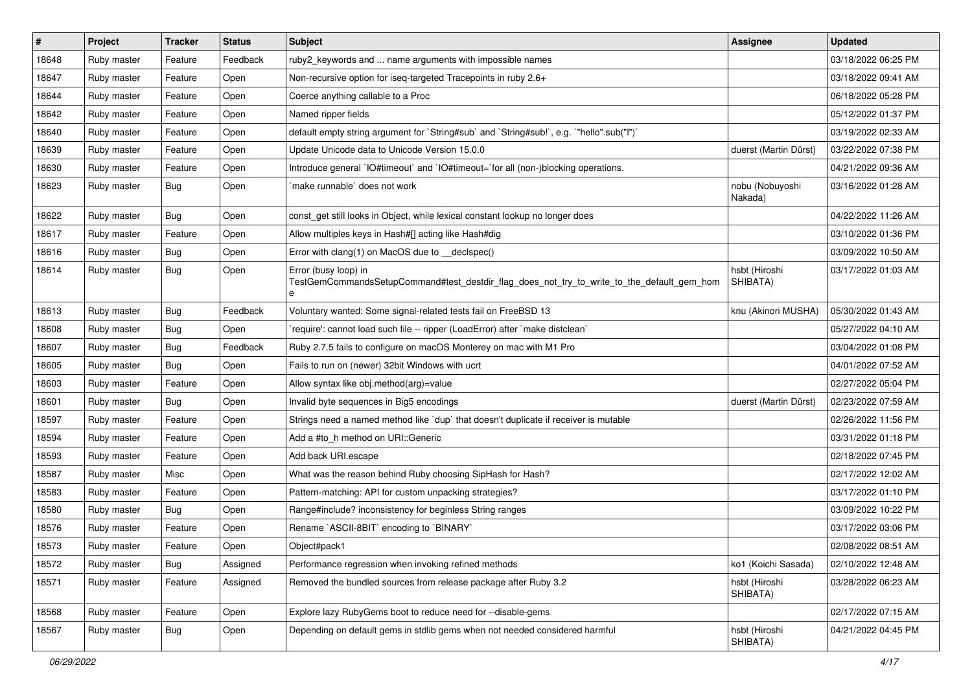| $\vert$ # | Project     | <b>Tracker</b> | <b>Status</b> | <b>Subject</b>                                                                                                          | <b>Assignee</b>            | <b>Updated</b>      |
|-----------|-------------|----------------|---------------|-------------------------------------------------------------------------------------------------------------------------|----------------------------|---------------------|
| 18648     | Ruby master | Feature        | Feedback      | ruby2_keywords and  name arguments with impossible names                                                                |                            | 03/18/2022 06:25 PM |
| 18647     | Ruby master | Feature        | Open          | Non-recursive option for iseq-targeted Tracepoints in ruby 2.6+                                                         |                            | 03/18/2022 09:41 AM |
| 18644     | Ruby master | Feature        | Open          | Coerce anything callable to a Proc                                                                                      |                            | 06/18/2022 05:28 PM |
| 18642     | Ruby master | Feature        | Open          | Named ripper fields                                                                                                     |                            | 05/12/2022 01:37 PM |
| 18640     | Ruby master | Feature        | Open          | default empty string argument for `String#sub` and `String#sub!`, e.g. `"hello".sub("I")`                               |                            | 03/19/2022 02:33 AM |
| 18639     | Ruby master | Feature        | Open          | Update Unicode data to Unicode Version 15.0.0                                                                           | duerst (Martin Dürst)      | 03/22/2022 07:38 PM |
| 18630     | Ruby master | Feature        | Open          | Introduce general `IO#timeout` and `IO#timeout=`for all (non-)blocking operations.                                      |                            | 04/21/2022 09:36 AM |
| 18623     | Ruby master | Bug            | Open          | make runnable' does not work                                                                                            | nobu (Nobuyoshi<br>Nakada) | 03/16/2022 01:28 AM |
| 18622     | Ruby master | Bug            | Open          | const_get still looks in Object, while lexical constant lookup no longer does                                           |                            | 04/22/2022 11:26 AM |
| 18617     | Ruby master | Feature        | Open          | Allow multiples keys in Hash#[] acting like Hash#dig                                                                    |                            | 03/10/2022 01:36 PM |
| 18616     | Ruby master | <b>Bug</b>     | Open          | Error with clang(1) on MacOS due to __declspec()                                                                        |                            | 03/09/2022 10:50 AM |
| 18614     | Ruby master | <b>Bug</b>     | Open          | Error (busy loop) in<br>TestGemCommandsSetupCommand#test_destdir_flag_does_not_try_to_write_to_the_default_gem_hom<br>e | hsbt (Hiroshi<br>SHIBATA)  | 03/17/2022 01:03 AM |
| 18613     | Ruby master | Bug            | Feedback      | Voluntary wanted: Some signal-related tests fail on FreeBSD 13                                                          | knu (Akinori MUSHA)        | 05/30/2022 01:43 AM |
| 18608     | Ruby master | <b>Bug</b>     | Open          | require': cannot load such file -- ripper (LoadError) after `make distclean`                                            |                            | 05/27/2022 04:10 AM |
| 18607     | Ruby master | Bug            | Feedback      | Ruby 2.7.5 fails to configure on macOS Monterey on mac with M1 Pro                                                      |                            | 03/04/2022 01:08 PM |
| 18605     | Ruby master | Bug            | Open          | Fails to run on (newer) 32bit Windows with ucrt                                                                         |                            | 04/01/2022 07:52 AM |
| 18603     | Ruby master | Feature        | Open          | Allow syntax like obj.method(arg)=value                                                                                 |                            | 02/27/2022 05:04 PM |
| 18601     | Ruby master | Bug            | Open          | Invalid byte sequences in Big5 encodings                                                                                | duerst (Martin Dürst)      | 02/23/2022 07:59 AM |
| 18597     | Ruby master | Feature        | Open          | Strings need a named method like `dup` that doesn't duplicate if receiver is mutable                                    |                            | 02/26/2022 11:56 PM |
| 18594     | Ruby master | Feature        | Open          | Add a #to_h method on URI::Generic                                                                                      |                            | 03/31/2022 01:18 PM |
| 18593     | Ruby master | Feature        | Open          | Add back URI.escape                                                                                                     |                            | 02/18/2022 07:45 PM |
| 18587     | Ruby master | Misc           | Open          | What was the reason behind Ruby choosing SipHash for Hash?                                                              |                            | 02/17/2022 12:02 AM |
| 18583     | Ruby master | Feature        | Open          | Pattern-matching: API for custom unpacking strategies?                                                                  |                            | 03/17/2022 01:10 PM |
| 18580     | Ruby master | <b>Bug</b>     | Open          | Range#include? inconsistency for beginless String ranges                                                                |                            | 03/09/2022 10:22 PM |
| 18576     | Ruby master | Feature        | Open          | Rename `ASCII-8BIT` encoding to `BINARY`                                                                                |                            | 03/17/2022 03:06 PM |
| 18573     | Ruby master | Feature        | Open          | Object#pack1                                                                                                            |                            | 02/08/2022 08:51 AM |
| 18572     | Ruby master | <b>Bug</b>     | Assigned      | Performance regression when invoking refined methods                                                                    | ko1 (Koichi Sasada)        | 02/10/2022 12:48 AM |
| 18571     | Ruby master | Feature        | Assigned      | Removed the bundled sources from release package after Ruby 3.2                                                         | hsbt (Hiroshi<br>SHIBATA)  | 03/28/2022 06:23 AM |
| 18568     | Ruby master | Feature        | Open          | Explore lazy RubyGems boot to reduce need for --disable-gems                                                            |                            | 02/17/2022 07:15 AM |
| 18567     | Ruby master | <b>Bug</b>     | Open          | Depending on default gems in stdlib gems when not needed considered harmful                                             | hsbt (Hiroshi<br>SHIBATA)  | 04/21/2022 04:45 PM |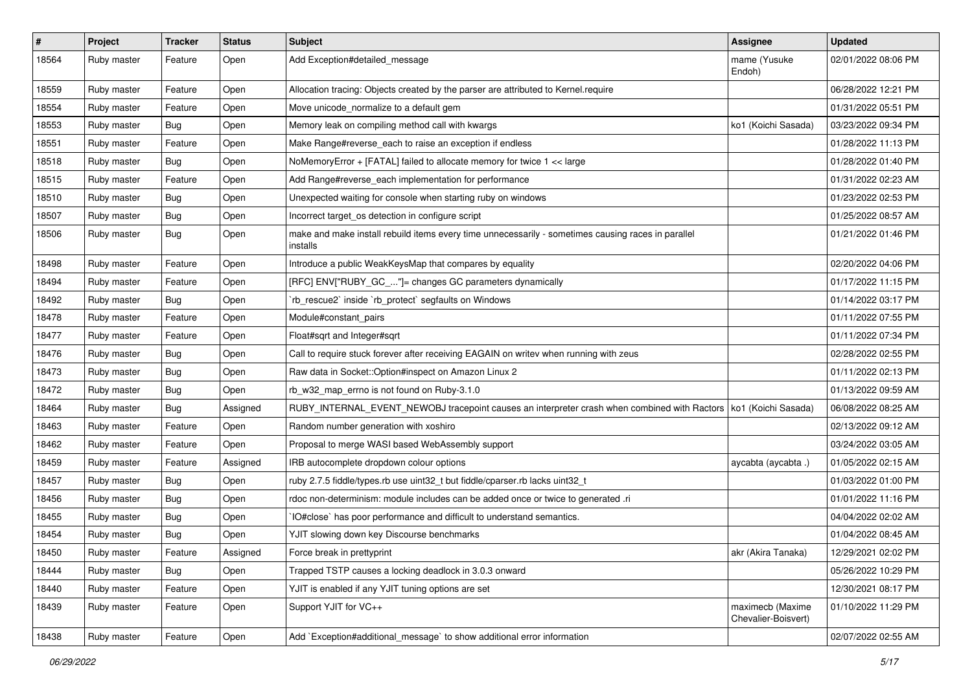| $\vert$ # | Project     | <b>Tracker</b> | <b>Status</b> | Subject                                                                                                        | Assignee                                | <b>Updated</b>      |
|-----------|-------------|----------------|---------------|----------------------------------------------------------------------------------------------------------------|-----------------------------------------|---------------------|
| 18564     | Ruby master | Feature        | Open          | Add Exception#detailed_message                                                                                 | mame (Yusuke<br>Endoh)                  | 02/01/2022 08:06 PM |
| 18559     | Ruby master | Feature        | Open          | Allocation tracing: Objects created by the parser are attributed to Kernel.require                             |                                         | 06/28/2022 12:21 PM |
| 18554     | Ruby master | Feature        | Open          | Move unicode_normalize to a default gem                                                                        |                                         | 01/31/2022 05:51 PM |
| 18553     | Ruby master | Bug            | Open          | Memory leak on compiling method call with kwargs                                                               | ko1 (Koichi Sasada)                     | 03/23/2022 09:34 PM |
| 18551     | Ruby master | Feature        | Open          | Make Range#reverse_each to raise an exception if endless                                                       |                                         | 01/28/2022 11:13 PM |
| 18518     | Ruby master | <b>Bug</b>     | Open          | NoMemoryError + [FATAL] failed to allocate memory for twice 1 << large                                         |                                         | 01/28/2022 01:40 PM |
| 18515     | Ruby master | Feature        | Open          | Add Range#reverse_each implementation for performance                                                          |                                         | 01/31/2022 02:23 AM |
| 18510     | Ruby master | <b>Bug</b>     | Open          | Unexpected waiting for console when starting ruby on windows                                                   |                                         | 01/23/2022 02:53 PM |
| 18507     | Ruby master | Bug            | Open          | Incorrect target_os detection in configure script                                                              |                                         | 01/25/2022 08:57 AM |
| 18506     | Ruby master | <b>Bug</b>     | Open          | make and make install rebuild items every time unnecessarily - sometimes causing races in parallel<br>installs |                                         | 01/21/2022 01:46 PM |
| 18498     | Ruby master | Feature        | Open          | Introduce a public WeakKeysMap that compares by equality                                                       |                                         | 02/20/2022 04:06 PM |
| 18494     | Ruby master | Feature        | Open          | [RFC] ENV["RUBY_GC_"]= changes GC parameters dynamically                                                       |                                         | 01/17/2022 11:15 PM |
| 18492     | Ruby master | <b>Bug</b>     | Open          | 'rb_rescue2` inside `rb_protect` segfaults on Windows                                                          |                                         | 01/14/2022 03:17 PM |
| 18478     | Ruby master | Feature        | Open          | Module#constant pairs                                                                                          |                                         | 01/11/2022 07:55 PM |
| 18477     | Ruby master | Feature        | Open          | Float#sqrt and Integer#sqrt                                                                                    |                                         | 01/11/2022 07:34 PM |
| 18476     | Ruby master | <b>Bug</b>     | Open          | Call to require stuck forever after receiving EAGAIN on writev when running with zeus                          |                                         | 02/28/2022 02:55 PM |
| 18473     | Ruby master | <b>Bug</b>     | Open          | Raw data in Socket::Option#inspect on Amazon Linux 2                                                           |                                         | 01/11/2022 02:13 PM |
| 18472     | Ruby master | <b>Bug</b>     | Open          | rb_w32_map_errno is not found on Ruby-3.1.0                                                                    |                                         | 01/13/2022 09:59 AM |
| 18464     | Ruby master | Bug            | Assigned      | RUBY_INTERNAL_EVENT_NEWOBJ tracepoint causes an interpreter crash when combined with Ractors                   | ko1 (Koichi Sasada)                     | 06/08/2022 08:25 AM |
| 18463     | Ruby master | Feature        | Open          | Random number generation with xoshiro                                                                          |                                         | 02/13/2022 09:12 AM |
| 18462     | Ruby master | Feature        | Open          | Proposal to merge WASI based WebAssembly support                                                               |                                         | 03/24/2022 03:05 AM |
| 18459     | Ruby master | Feature        | Assigned      | IRB autocomplete dropdown colour options                                                                       | aycabta (aycabta.)                      | 01/05/2022 02:15 AM |
| 18457     | Ruby master | <b>Bug</b>     | Open          | ruby 2.7.5 fiddle/types.rb use uint32_t but fiddle/cparser.rb lacks uint32_t                                   |                                         | 01/03/2022 01:00 PM |
| 18456     | Ruby master | <b>Bug</b>     | Open          | rdoc non-determinism: module includes can be added once or twice to generated .ri                              |                                         | 01/01/2022 11:16 PM |
| 18455     | Ruby master | <b>Bug</b>     | Open          | IO#close` has poor performance and difficult to understand semantics.                                          |                                         | 04/04/2022 02:02 AM |
| 18454     | Ruby master | Bug            | Open          | YJIT slowing down key Discourse benchmarks                                                                     |                                         | 01/04/2022 08:45 AM |
| 18450     | Ruby master | Feature        | Assigned      | Force break in prettyprint                                                                                     | akr (Akira Tanaka)                      | 12/29/2021 02:02 PM |
| 18444     | Ruby master | <b>Bug</b>     | Open          | Trapped TSTP causes a locking deadlock in 3.0.3 onward                                                         |                                         | 05/26/2022 10:29 PM |
| 18440     | Ruby master | Feature        | Open          | YJIT is enabled if any YJIT tuning options are set                                                             |                                         | 12/30/2021 08:17 PM |
| 18439     | Ruby master | Feature        | Open          | Support YJIT for VC++                                                                                          | maximecb (Maxime<br>Chevalier-Boisvert) | 01/10/2022 11:29 PM |
| 18438     | Ruby master | Feature        | Open          | Add `Exception#additional_message` to show additional error information                                        |                                         | 02/07/2022 02:55 AM |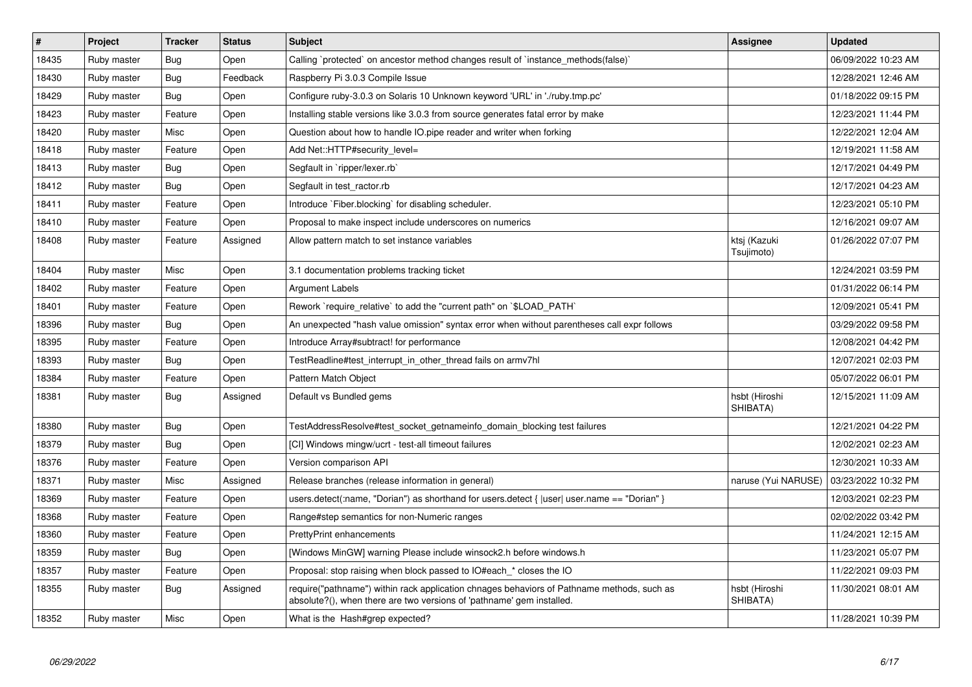| $\vert$ # | Project     | <b>Tracker</b> | <b>Status</b> | <b>Subject</b>                                                                                                                                                      | <b>Assignee</b>            | <b>Updated</b>      |
|-----------|-------------|----------------|---------------|---------------------------------------------------------------------------------------------------------------------------------------------------------------------|----------------------------|---------------------|
| 18435     | Ruby master | <b>Bug</b>     | Open          | Calling `protected` on ancestor method changes result of `instance methods(false)`                                                                                  |                            | 06/09/2022 10:23 AM |
| 18430     | Ruby master | <b>Bug</b>     | Feedback      | Raspberry Pi 3.0.3 Compile Issue                                                                                                                                    |                            | 12/28/2021 12:46 AM |
| 18429     | Ruby master | Bug            | Open          | Configure ruby-3.0.3 on Solaris 10 Unknown keyword 'URL' in './ruby.tmp.pc'                                                                                         |                            | 01/18/2022 09:15 PM |
| 18423     | Ruby master | Feature        | Open          | Installing stable versions like 3.0.3 from source generates fatal error by make                                                                                     |                            | 12/23/2021 11:44 PM |
| 18420     | Ruby master | Misc           | Open          | Question about how to handle IO.pipe reader and writer when forking                                                                                                 |                            | 12/22/2021 12:04 AM |
| 18418     | Ruby master | Feature        | Open          | Add Net::HTTP#security_level=                                                                                                                                       |                            | 12/19/2021 11:58 AM |
| 18413     | Ruby master | Bug            | Open          | Segfault in `ripper/lexer.rb`                                                                                                                                       |                            | 12/17/2021 04:49 PM |
| 18412     | Ruby master | Bug            | Open          | Segfault in test ractor.rb                                                                                                                                          |                            | 12/17/2021 04:23 AM |
| 18411     | Ruby master | Feature        | Open          | Introduce `Fiber.blocking` for disabling scheduler.                                                                                                                 |                            | 12/23/2021 05:10 PM |
| 18410     | Ruby master | Feature        | Open          | Proposal to make inspect include underscores on numerics                                                                                                            |                            | 12/16/2021 09:07 AM |
| 18408     | Ruby master | Feature        | Assigned      | Allow pattern match to set instance variables                                                                                                                       | ktsj (Kazuki<br>Tsujimoto) | 01/26/2022 07:07 PM |
| 18404     | Ruby master | Misc           | Open          | 3.1 documentation problems tracking ticket                                                                                                                          |                            | 12/24/2021 03:59 PM |
| 18402     | Ruby master | Feature        | Open          | <b>Argument Labels</b>                                                                                                                                              |                            | 01/31/2022 06:14 PM |
| 18401     | Ruby master | Feature        | Open          | Rework `require relative` to add the "current path" on `\$LOAD PATH`                                                                                                |                            | 12/09/2021 05:41 PM |
| 18396     | Ruby master | <b>Bug</b>     | Open          | An unexpected "hash value omission" syntax error when without parentheses call expr follows                                                                         |                            | 03/29/2022 09:58 PM |
| 18395     | Ruby master | Feature        | Open          | Introduce Array#subtract! for performance                                                                                                                           |                            | 12/08/2021 04:42 PM |
| 18393     | Ruby master | Bug            | Open          | TestReadline#test_interrupt_in_other_thread fails on armv7hl                                                                                                        |                            | 12/07/2021 02:03 PM |
| 18384     | Ruby master | Feature        | Open          | Pattern Match Object                                                                                                                                                |                            | 05/07/2022 06:01 PM |
| 18381     | Ruby master | <b>Bug</b>     | Assigned      | Default vs Bundled gems                                                                                                                                             | hsbt (Hiroshi<br>SHIBATA)  | 12/15/2021 11:09 AM |
| 18380     | Ruby master | Bug            | Open          | TestAddressResolve#test_socket_getnameinfo_domain_blocking test failures                                                                                            |                            | 12/21/2021 04:22 PM |
| 18379     | Ruby master | Bug            | Open          | [CI] Windows mingw/ucrt - test-all timeout failures                                                                                                                 |                            | 12/02/2021 02:23 AM |
| 18376     | Ruby master | Feature        | Open          | Version comparison API                                                                                                                                              |                            | 12/30/2021 10:33 AM |
| 18371     | Ruby master | Misc           | Assigned      | Release branches (release information in general)                                                                                                                   | naruse (Yui NARUSE)        | 03/23/2022 10:32 PM |
| 18369     | Ruby master | Feature        | Open          | users.detect(:name, "Dorian") as shorthand for users.detect { $ $ user  user.name == "Dorian" }                                                                     |                            | 12/03/2021 02:23 PM |
| 18368     | Ruby master | Feature        | Open          | Range#step semantics for non-Numeric ranges                                                                                                                         |                            | 02/02/2022 03:42 PM |
| 18360     | Ruby master | Feature        | Open          | <b>PrettyPrint enhancements</b>                                                                                                                                     |                            | 11/24/2021 12:15 AM |
| 18359     | Ruby master | <b>Bug</b>     | Open          | [Windows MinGW] warning Please include winsock2.h before windows.h                                                                                                  |                            | 11/23/2021 05:07 PM |
| 18357     | Ruby master | Feature        | Open          | Proposal: stop raising when block passed to IO#each * closes the IO                                                                                                 |                            | 11/22/2021 09:03 PM |
| 18355     | Ruby master | <b>Bug</b>     | Assigned      | require("pathname") within rack application chnages behaviors of Pathname methods, such as<br>absolute?(), when there are two versions of 'pathname' gem installed. | hsbt (Hiroshi<br>SHIBATA)  | 11/30/2021 08:01 AM |
| 18352     | Ruby master | Misc           | Open          | What is the Hash#grep expected?                                                                                                                                     |                            | 11/28/2021 10:39 PM |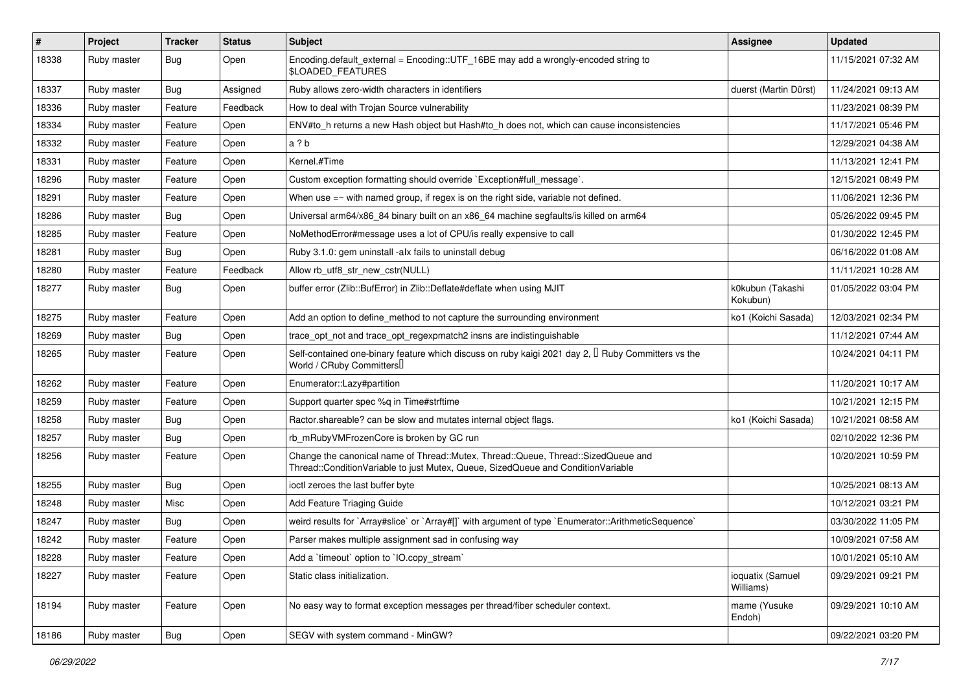| $\vert$ # | Project     | <b>Tracker</b> | <b>Status</b> | <b>Subject</b>                                                                                                                                                        | Assignee                      | <b>Updated</b>      |
|-----------|-------------|----------------|---------------|-----------------------------------------------------------------------------------------------------------------------------------------------------------------------|-------------------------------|---------------------|
| 18338     | Ruby master | Bug            | Open          | Encoding.default_external = Encoding::UTF_16BE may add a wrongly-encoded string to<br>\$LOADED_FEATURES                                                               |                               | 11/15/2021 07:32 AM |
| 18337     | Ruby master | Bug            | Assigned      | Ruby allows zero-width characters in identifiers                                                                                                                      | duerst (Martin Dürst)         | 11/24/2021 09:13 AM |
| 18336     | Ruby master | Feature        | Feedback      | How to deal with Trojan Source vulnerability                                                                                                                          |                               | 11/23/2021 08:39 PM |
| 18334     | Ruby master | Feature        | Open          | ENV#to_h returns a new Hash object but Hash#to_h does not, which can cause inconsistencies                                                                            |                               | 11/17/2021 05:46 PM |
| 18332     | Ruby master | Feature        | Open          | a ? b                                                                                                                                                                 |                               | 12/29/2021 04:38 AM |
| 18331     | Ruby master | Feature        | Open          | Kernel.#Time                                                                                                                                                          |                               | 11/13/2021 12:41 PM |
| 18296     | Ruby master | Feature        | Open          | Custom exception formatting should override `Exception#full_message`.                                                                                                 |                               | 12/15/2021 08:49 PM |
| 18291     | Ruby master | Feature        | Open          | When use $=\sim$ with named group, if regex is on the right side, variable not defined.                                                                               |                               | 11/06/2021 12:36 PM |
| 18286     | Ruby master | Bug            | Open          | Universal arm64/x86_84 binary built on an x86_64 machine segfaults/is killed on arm64                                                                                 |                               | 05/26/2022 09:45 PM |
| 18285     | Ruby master | Feature        | Open          | NoMethodError#message uses a lot of CPU/is really expensive to call                                                                                                   |                               | 01/30/2022 12:45 PM |
| 18281     | Ruby master | <b>Bug</b>     | Open          | Ruby 3.1.0: gem uninstall -alx fails to uninstall debug                                                                                                               |                               | 06/16/2022 01:08 AM |
| 18280     | Ruby master | Feature        | Feedback      | Allow rb_utf8_str_new_cstr(NULL)                                                                                                                                      |                               | 11/11/2021 10:28 AM |
| 18277     | Ruby master | <b>Bug</b>     | Open          | buffer error (Zlib::BufError) in Zlib::Deflate#deflate when using MJIT                                                                                                | k0kubun (Takashi<br>Kokubun)  | 01/05/2022 03:04 PM |
| 18275     | Ruby master | Feature        | Open          | Add an option to define method to not capture the surrounding environment                                                                                             | ko1 (Koichi Sasada)           | 12/03/2021 02:34 PM |
| 18269     | Ruby master | <b>Bug</b>     | Open          | trace_opt_not and trace_opt_regexpmatch2 insns are indistinguishable                                                                                                  |                               | 11/12/2021 07:44 AM |
| 18265     | Ruby master | Feature        | Open          | Self-contained one-binary feature which discuss on ruby kaigi 2021 day 2, $\Box$ Ruby Committers vs the<br>World / CRuby Committers                                   |                               | 10/24/2021 04:11 PM |
| 18262     | Ruby master | Feature        | Open          | Enumerator::Lazy#partition                                                                                                                                            |                               | 11/20/2021 10:17 AM |
| 18259     | Ruby master | Feature        | Open          | Support quarter spec %q in Time#strftime                                                                                                                              |                               | 10/21/2021 12:15 PM |
| 18258     | Ruby master | <b>Bug</b>     | Open          | Ractor shareable? can be slow and mutates internal object flags.                                                                                                      | ko1 (Koichi Sasada)           | 10/21/2021 08:58 AM |
| 18257     | Ruby master | Bug            | Open          | rb_mRubyVMFrozenCore is broken by GC run                                                                                                                              |                               | 02/10/2022 12:36 PM |
| 18256     | Ruby master | Feature        | Open          | Change the canonical name of Thread::Mutex, Thread::Queue, Thread::SizedQueue and<br>Thread::ConditionVariable to just Mutex, Queue, SizedQueue and ConditionVariable |                               | 10/20/2021 10:59 PM |
| 18255     | Ruby master | Bug            | Open          | ioctl zeroes the last buffer byte                                                                                                                                     |                               | 10/25/2021 08:13 AM |
| 18248     | Ruby master | Misc           | Open          | Add Feature Triaging Guide                                                                                                                                            |                               | 10/12/2021 03:21 PM |
| 18247     | Ruby master | <b>Bug</b>     | Open          | weird results for `Array#slice` or `Array#[]` with argument of type `Enumerator::ArithmeticSequence`                                                                  |                               | 03/30/2022 11:05 PM |
| 18242     | Ruby master | Feature        | Open          | Parser makes multiple assignment sad in confusing way                                                                                                                 |                               | 10/09/2021 07:58 AM |
| 18228     | Ruby master | Feature        | Open          | Add a 'timeout' option to 'IO.copy_stream'                                                                                                                            |                               | 10/01/2021 05:10 AM |
| 18227     | Ruby master | Feature        | Open          | Static class initialization.                                                                                                                                          | ioquatix (Samuel<br>Williams) | 09/29/2021 09:21 PM |
| 18194     | Ruby master | Feature        | Open          | No easy way to format exception messages per thread/fiber scheduler context.                                                                                          | mame (Yusuke<br>Endoh)        | 09/29/2021 10:10 AM |
| 18186     | Ruby master | Bug            | Open          | SEGV with system command - MinGW?                                                                                                                                     |                               | 09/22/2021 03:20 PM |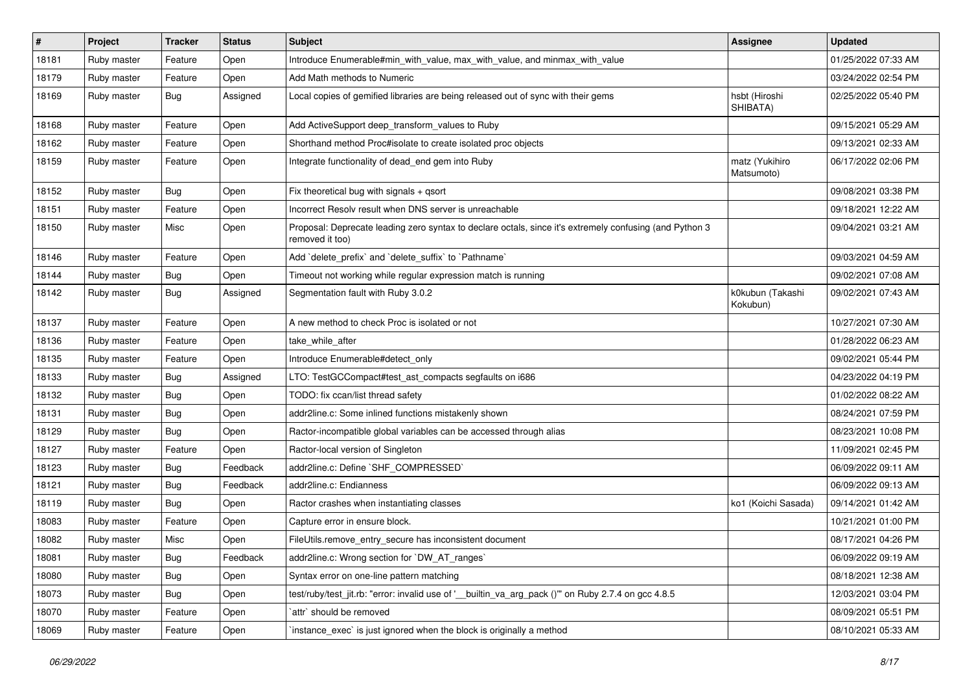| $\vert$ # | Project     | <b>Tracker</b> | <b>Status</b> | Subject                                                                                                                    | <b>Assignee</b>              | <b>Updated</b>      |
|-----------|-------------|----------------|---------------|----------------------------------------------------------------------------------------------------------------------------|------------------------------|---------------------|
| 18181     | Ruby master | Feature        | Open          | Introduce Enumerable#min_with_value, max_with_value, and minmax_with_value                                                 |                              | 01/25/2022 07:33 AM |
| 18179     | Ruby master | Feature        | Open          | Add Math methods to Numeric                                                                                                |                              | 03/24/2022 02:54 PM |
| 18169     | Ruby master | <b>Bug</b>     | Assigned      | Local copies of gemified libraries are being released out of sync with their gems                                          | hsbt (Hiroshi<br>SHIBATA)    | 02/25/2022 05:40 PM |
| 18168     | Ruby master | Feature        | Open          | Add ActiveSupport deep_transform_values to Ruby                                                                            |                              | 09/15/2021 05:29 AM |
| 18162     | Ruby master | Feature        | Open          | Shorthand method Proc#isolate to create isolated proc objects                                                              |                              | 09/13/2021 02:33 AM |
| 18159     | Ruby master | Feature        | Open          | Integrate functionality of dead_end gem into Ruby                                                                          | matz (Yukihiro<br>Matsumoto) | 06/17/2022 02:06 PM |
| 18152     | Ruby master | Bug            | Open          | Fix theoretical bug with signals + qsort                                                                                   |                              | 09/08/2021 03:38 PM |
| 18151     | Ruby master | Feature        | Open          | Incorrect Resolv result when DNS server is unreachable                                                                     |                              | 09/18/2021 12:22 AM |
| 18150     | Ruby master | Misc           | Open          | Proposal: Deprecate leading zero syntax to declare octals, since it's extremely confusing (and Python 3<br>removed it too) |                              | 09/04/2021 03:21 AM |
| 18146     | Ruby master | Feature        | Open          | Add 'delete_prefix' and 'delete_suffix' to 'Pathname'                                                                      |                              | 09/03/2021 04:59 AM |
| 18144     | Ruby master | Bug            | Open          | Timeout not working while regular expression match is running                                                              |                              | 09/02/2021 07:08 AM |
| 18142     | Ruby master | Bug            | Assigned      | Segmentation fault with Ruby 3.0.2                                                                                         | k0kubun (Takashi<br>Kokubun) | 09/02/2021 07:43 AM |
| 18137     | Ruby master | Feature        | Open          | A new method to check Proc is isolated or not                                                                              |                              | 10/27/2021 07:30 AM |
| 18136     | Ruby master | Feature        | Open          | take while after                                                                                                           |                              | 01/28/2022 06:23 AM |
| 18135     | Ruby master | Feature        | Open          | Introduce Enumerable#detect_only                                                                                           |                              | 09/02/2021 05:44 PM |
| 18133     | Ruby master | <b>Bug</b>     | Assigned      | LTO: TestGCCompact#test_ast_compacts segfaults on i686                                                                     |                              | 04/23/2022 04:19 PM |
| 18132     | Ruby master | <b>Bug</b>     | Open          | TODO: fix ccan/list thread safety                                                                                          |                              | 01/02/2022 08:22 AM |
| 18131     | Ruby master | Bug            | Open          | addr2line.c: Some inlined functions mistakenly shown                                                                       |                              | 08/24/2021 07:59 PM |
| 18129     | Ruby master | <b>Bug</b>     | Open          | Ractor-incompatible global variables can be accessed through alias                                                         |                              | 08/23/2021 10:08 PM |
| 18127     | Ruby master | Feature        | Open          | Ractor-local version of Singleton                                                                                          |                              | 11/09/2021 02:45 PM |
| 18123     | Ruby master | Bug            | Feedback      | addr2line.c: Define `SHF_COMPRESSED`                                                                                       |                              | 06/09/2022 09:11 AM |
| 18121     | Ruby master | <b>Bug</b>     | Feedback      | addr2line.c: Endianness                                                                                                    |                              | 06/09/2022 09:13 AM |
| 18119     | Ruby master | <b>Bug</b>     | Open          | Ractor crashes when instantiating classes                                                                                  | ko1 (Koichi Sasada)          | 09/14/2021 01:42 AM |
| 18083     | Ruby master | Feature        | Open          | Capture error in ensure block.                                                                                             |                              | 10/21/2021 01:00 PM |
| 18082     | Ruby master | Misc           | Open          | FileUtils.remove_entry_secure has inconsistent document                                                                    |                              | 08/17/2021 04:26 PM |
| 18081     | Ruby master | Bug            | Feedback      | addr2line.c: Wrong section for `DW_AT_ranges`                                                                              |                              | 06/09/2022 09:19 AM |
| 18080     | Ruby master | <b>Bug</b>     | Open          | Syntax error on one-line pattern matching                                                                                  |                              | 08/18/2021 12:38 AM |
| 18073     | Ruby master | Bug            | Open          | test/ruby/test_jit.rb: "error: invalid use of '__builtin_va_arg_pack ()" on Ruby 2.7.4 on gcc 4.8.5                        |                              | 12/03/2021 03:04 PM |
| 18070     | Ruby master | Feature        | Open          | `attr` should be removed                                                                                                   |                              | 08/09/2021 05:51 PM |
| 18069     | Ruby master | Feature        | Open          | instance_exec` is just ignored when the block is originally a method                                                       |                              | 08/10/2021 05:33 AM |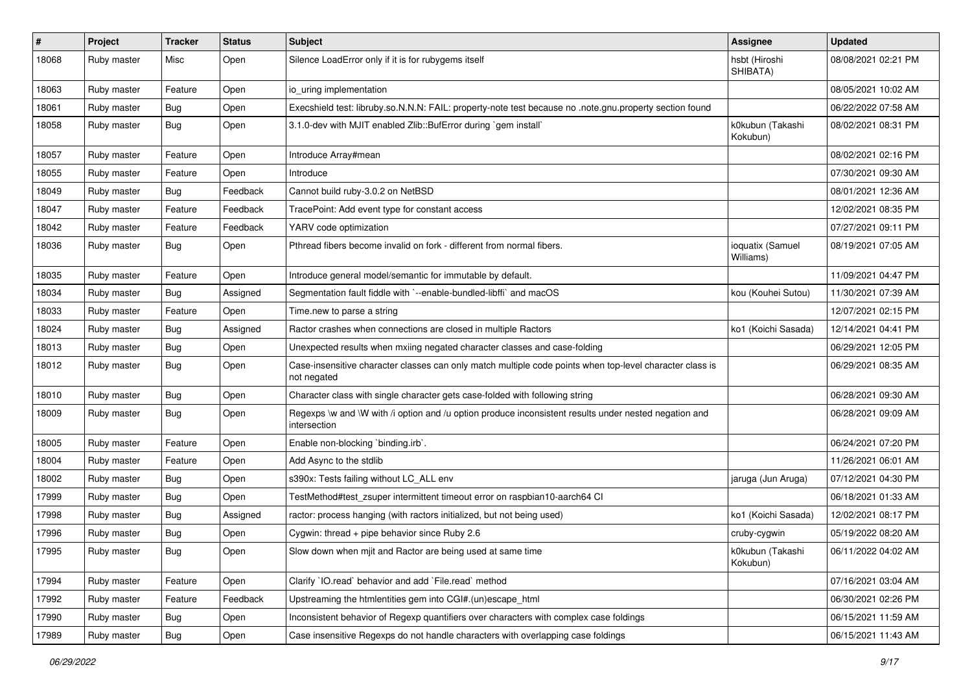| $\sharp$ | Project     | <b>Tracker</b> | <b>Status</b> | <b>Subject</b>                                                                                                          | <b>Assignee</b>               | <b>Updated</b>      |
|----------|-------------|----------------|---------------|-------------------------------------------------------------------------------------------------------------------------|-------------------------------|---------------------|
| 18068    | Ruby master | Misc           | Open          | Silence LoadError only if it is for rubygems itself                                                                     | hsbt (Hiroshi<br>SHIBATA)     | 08/08/2021 02:21 PM |
| 18063    | Ruby master | Feature        | Open          | io_uring implementation                                                                                                 |                               | 08/05/2021 10:02 AM |
| 18061    | Ruby master | Bug            | Open          | Execshield test: libruby.so.N.N.N: FAIL: property-note test because no .note.gnu.property section found                 |                               | 06/22/2022 07:58 AM |
| 18058    | Ruby master | Bug            | Open          | 3.1.0-dev with MJIT enabled Zlib::BufError during `gem install`                                                         | k0kubun (Takashi<br>Kokubun)  | 08/02/2021 08:31 PM |
| 18057    | Ruby master | Feature        | Open          | Introduce Array#mean                                                                                                    |                               | 08/02/2021 02:16 PM |
| 18055    | Ruby master | Feature        | Open          | Introduce                                                                                                               |                               | 07/30/2021 09:30 AM |
| 18049    | Ruby master | <b>Bug</b>     | Feedback      | Cannot build ruby-3.0.2 on NetBSD                                                                                       |                               | 08/01/2021 12:36 AM |
| 18047    | Ruby master | Feature        | Feedback      | TracePoint: Add event type for constant access                                                                          |                               | 12/02/2021 08:35 PM |
| 18042    | Ruby master | Feature        | Feedback      | YARV code optimization                                                                                                  |                               | 07/27/2021 09:11 PM |
| 18036    | Ruby master | <b>Bug</b>     | Open          | Pthread fibers become invalid on fork - different from normal fibers.                                                   | ioquatix (Samuel<br>Williams) | 08/19/2021 07:05 AM |
| 18035    | Ruby master | Feature        | Open          | Introduce general model/semantic for immutable by default.                                                              |                               | 11/09/2021 04:47 PM |
| 18034    | Ruby master | <b>Bug</b>     | Assigned      | Segmentation fault fiddle with `--enable-bundled-libffi` and macOS                                                      | kou (Kouhei Sutou)            | 11/30/2021 07:39 AM |
| 18033    | Ruby master | Feature        | Open          | Time.new to parse a string                                                                                              |                               | 12/07/2021 02:15 PM |
| 18024    | Ruby master | Bug            | Assigned      | Ractor crashes when connections are closed in multiple Ractors                                                          | ko1 (Koichi Sasada)           | 12/14/2021 04:41 PM |
| 18013    | Ruby master | Bug            | Open          | Unexpected results when mxiing negated character classes and case-folding                                               |                               | 06/29/2021 12:05 PM |
| 18012    | Ruby master | Bug            | Open          | Case-insensitive character classes can only match multiple code points when top-level character class is<br>not negated |                               | 06/29/2021 08:35 AM |
| 18010    | Ruby master | <b>Bug</b>     | Open          | Character class with single character gets case-folded with following string                                            |                               | 06/28/2021 09:30 AM |
| 18009    | Ruby master | Bug            | Open          | Regexps \w and \W with /i option and /u option produce inconsistent results under nested negation and<br>intersection   |                               | 06/28/2021 09:09 AM |
| 18005    | Ruby master | Feature        | Open          | Enable non-blocking `binding.irb`.                                                                                      |                               | 06/24/2021 07:20 PM |
| 18004    | Ruby master | Feature        | Open          | Add Async to the stdlib                                                                                                 |                               | 11/26/2021 06:01 AM |
| 18002    | Ruby master | Bug            | Open          | s390x: Tests failing without LC_ALL env                                                                                 | jaruga (Jun Aruga)            | 07/12/2021 04:30 PM |
| 17999    | Ruby master | <b>Bug</b>     | Open          | TestMethod#test_zsuper intermittent timeout error on raspbian10-aarch64 CI                                              |                               | 06/18/2021 01:33 AM |
| 17998    | Ruby master | Bug            | Assigned      | ractor: process hanging (with ractors initialized, but not being used)                                                  | ko1 (Koichi Sasada)           | 12/02/2021 08:17 PM |
| 17996    | Ruby master | <b>Bug</b>     | Open          | Cygwin: thread + pipe behavior since Ruby 2.6                                                                           | cruby-cygwin                  | 05/19/2022 08:20 AM |
| 17995    | Ruby master | <b>Bug</b>     | Open          | Slow down when mjit and Ractor are being used at same time                                                              | k0kubun (Takashi<br>Kokubun)  | 06/11/2022 04:02 AM |
| 17994    | Ruby master | Feature        | Open          | Clarify 'IO.read' behavior and add 'File.read' method                                                                   |                               | 07/16/2021 03:04 AM |
| 17992    | Ruby master | Feature        | Feedback      | Upstreaming the htmlentities gem into CGI#.(un)escape_html                                                              |                               | 06/30/2021 02:26 PM |
| 17990    | Ruby master | Bug            | Open          | Inconsistent behavior of Regexp quantifiers over characters with complex case foldings                                  |                               | 06/15/2021 11:59 AM |
| 17989    | Ruby master | <b>Bug</b>     | Open          | Case insensitive Regexps do not handle characters with overlapping case foldings                                        |                               | 06/15/2021 11:43 AM |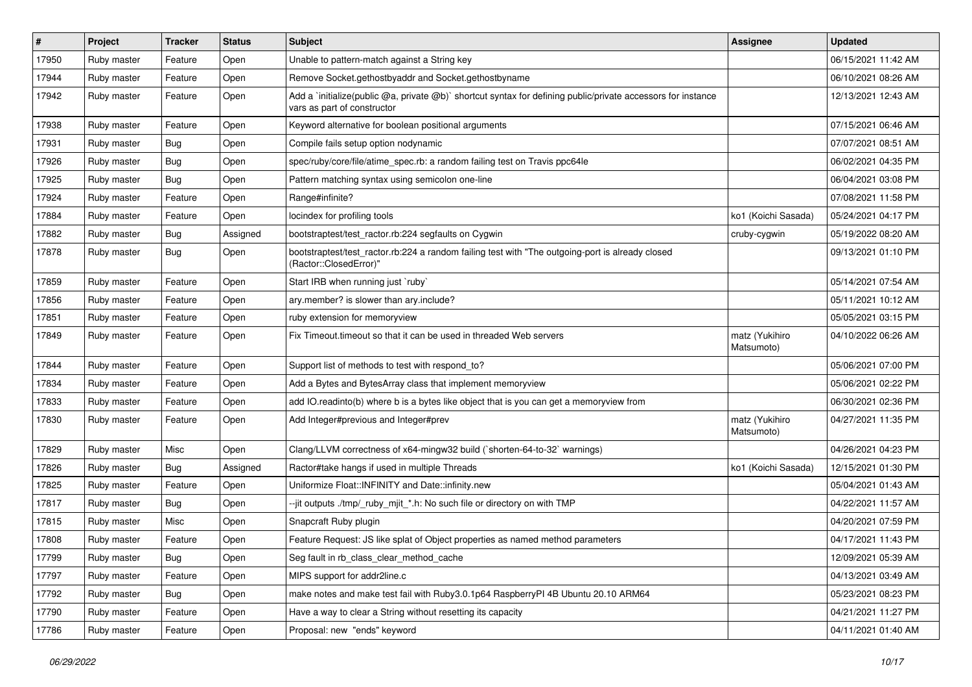| #     | Project     | <b>Tracker</b> | <b>Status</b> | <b>Subject</b>                                                                                                                              | Assignee                     | <b>Updated</b>      |
|-------|-------------|----------------|---------------|---------------------------------------------------------------------------------------------------------------------------------------------|------------------------------|---------------------|
| 17950 | Ruby master | Feature        | Open          | Unable to pattern-match against a String key                                                                                                |                              | 06/15/2021 11:42 AM |
| 17944 | Ruby master | Feature        | Open          | Remove Socket.gethostbyaddr and Socket.gethostbyname                                                                                        |                              | 06/10/2021 08:26 AM |
| 17942 | Ruby master | Feature        | Open          | Add a 'initialize(public @a, private @b)' shortcut syntax for defining public/private accessors for instance<br>vars as part of constructor |                              | 12/13/2021 12:43 AM |
| 17938 | Ruby master | Feature        | Open          | Keyword alternative for boolean positional arguments                                                                                        |                              | 07/15/2021 06:46 AM |
| 17931 | Ruby master | Bug            | Open          | Compile fails setup option nodynamic                                                                                                        |                              | 07/07/2021 08:51 AM |
| 17926 | Ruby master | Bug            | Open          | spec/ruby/core/file/atime_spec.rb: a random failing test on Travis ppc64le                                                                  |                              | 06/02/2021 04:35 PM |
| 17925 | Ruby master | Bug            | Open          | Pattern matching syntax using semicolon one-line                                                                                            |                              | 06/04/2021 03:08 PM |
| 17924 | Ruby master | Feature        | Open          | Range#infinite?                                                                                                                             |                              | 07/08/2021 11:58 PM |
| 17884 | Ruby master | Feature        | Open          | locindex for profiling tools                                                                                                                | ko1 (Koichi Sasada)          | 05/24/2021 04:17 PM |
| 17882 | Ruby master | <b>Bug</b>     | Assigned      | bootstraptest/test ractor.rb:224 segfaults on Cygwin                                                                                        | cruby-cygwin                 | 05/19/2022 08:20 AM |
| 17878 | Ruby master | <b>Bug</b>     | Open          | bootstraptest/test_ractor.rb:224 a random failing test with "The outgoing-port is already closed<br>(Ractor::ClosedError)"                  |                              | 09/13/2021 01:10 PM |
| 17859 | Ruby master | Feature        | Open          | Start IRB when running just `ruby`                                                                                                          |                              | 05/14/2021 07:54 AM |
| 17856 | Ruby master | Feature        | Open          | ary.member? is slower than ary.include?                                                                                                     |                              | 05/11/2021 10:12 AM |
| 17851 | Ruby master | Feature        | Open          | ruby extension for memoryview                                                                                                               |                              | 05/05/2021 03:15 PM |
| 17849 | Ruby master | Feature        | Open          | Fix Timeout timeout so that it can be used in threaded Web servers                                                                          | matz (Yukihiro<br>Matsumoto) | 04/10/2022 06:26 AM |
| 17844 | Ruby master | Feature        | Open          | Support list of methods to test with respond to?                                                                                            |                              | 05/06/2021 07:00 PM |
| 17834 | Ruby master | Feature        | Open          | Add a Bytes and BytesArray class that implement memoryview                                                                                  |                              | 05/06/2021 02:22 PM |
| 17833 | Ruby master | Feature        | Open          | add IO.readinto(b) where b is a bytes like object that is you can get a memoryview from                                                     |                              | 06/30/2021 02:36 PM |
| 17830 | Ruby master | Feature        | Open          | Add Integer#previous and Integer#prev                                                                                                       | matz (Yukihiro<br>Matsumoto) | 04/27/2021 11:35 PM |
| 17829 | Ruby master | Misc           | Open          | Clang/LLVM correctness of x64-mingw32 build (`shorten-64-to-32` warnings)                                                                   |                              | 04/26/2021 04:23 PM |
| 17826 | Ruby master | <b>Bug</b>     | Assigned      | Ractor#take hangs if used in multiple Threads                                                                                               | ko1 (Koichi Sasada)          | 12/15/2021 01:30 PM |
| 17825 | Ruby master | Feature        | Open          | Uniformize Float::INFINITY and Date::infinity.new                                                                                           |                              | 05/04/2021 01:43 AM |
| 17817 | Ruby master | Bug            | Open          | --jit outputs ./tmp/_ruby_mjit_*.h: No such file or directory on with TMP                                                                   |                              | 04/22/2021 11:57 AM |
| 17815 | Ruby master | Misc           | Open          | Snapcraft Ruby plugin                                                                                                                       |                              | 04/20/2021 07:59 PM |
| 17808 | Ruby master | Feature        | Open          | Feature Request: JS like splat of Object properties as named method parameters                                                              |                              | 04/17/2021 11:43 PM |
| 17799 | Ruby master | <b>Bug</b>     | Open          | Seg fault in rb_class_clear_method_cache                                                                                                    |                              | 12/09/2021 05:39 AM |
| 17797 | Ruby master | Feature        | Open          | MIPS support for addr2line.c                                                                                                                |                              | 04/13/2021 03:49 AM |
| 17792 | Ruby master | <b>Bug</b>     | Open          | make notes and make test fail with Ruby3.0.1p64 RaspberryPI 4B Ubuntu 20.10 ARM64                                                           |                              | 05/23/2021 08:23 PM |
| 17790 | Ruby master | Feature        | Open          | Have a way to clear a String without resetting its capacity                                                                                 |                              | 04/21/2021 11:27 PM |
| 17786 | Ruby master | Feature        | Open          | Proposal: new "ends" keyword                                                                                                                |                              | 04/11/2021 01:40 AM |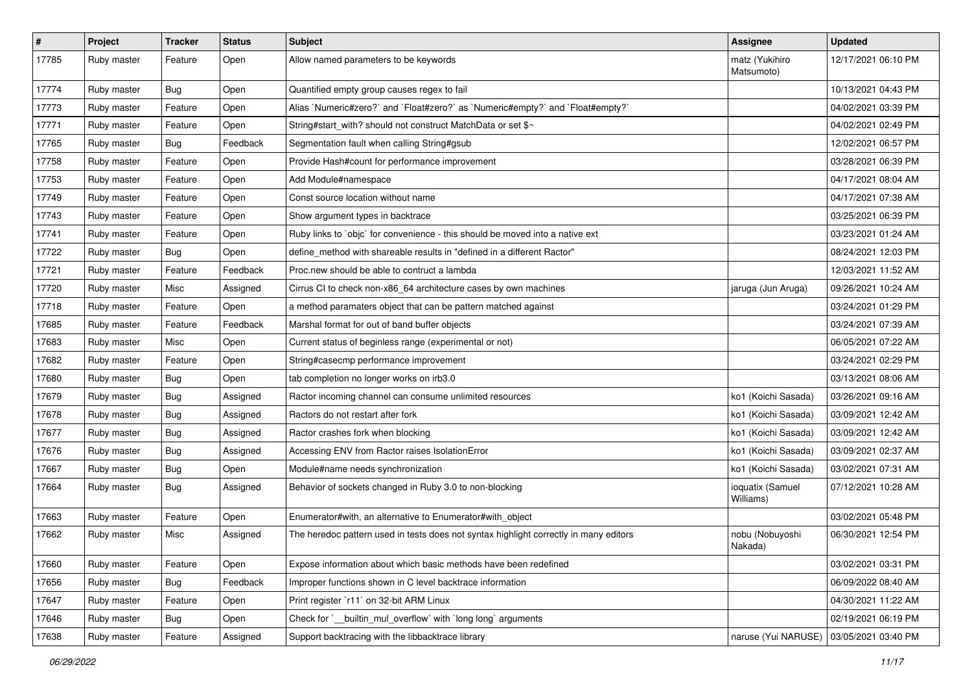| $\vert$ # | Project     | <b>Tracker</b> | <b>Status</b> | <b>Subject</b>                                                                        | <b>Assignee</b>                           | <b>Updated</b>      |
|-----------|-------------|----------------|---------------|---------------------------------------------------------------------------------------|-------------------------------------------|---------------------|
| 17785     | Ruby master | Feature        | Open          | Allow named parameters to be keywords                                                 | matz (Yukihiro<br>Matsumoto)              | 12/17/2021 06:10 PM |
| 17774     | Ruby master | Bug            | Open          | Quantified empty group causes regex to fail                                           |                                           | 10/13/2021 04:43 PM |
| 17773     | Ruby master | Feature        | Open          | Alias `Numeric#zero?` and `Float#zero?` as `Numeric#empty?` and `Float#empty?`        |                                           | 04/02/2021 03:39 PM |
| 17771     | Ruby master | Feature        | Open          | String#start_with? should not construct MatchData or set \$~                          |                                           | 04/02/2021 02:49 PM |
| 17765     | Ruby master | Bug            | Feedback      | Segmentation fault when calling String#gsub                                           |                                           | 12/02/2021 06:57 PM |
| 17758     | Ruby master | Feature        | Open          | Provide Hash#count for performance improvement                                        |                                           | 03/28/2021 06:39 PM |
| 17753     | Ruby master | Feature        | Open          | Add Module#namespace                                                                  |                                           | 04/17/2021 08:04 AM |
| 17749     | Ruby master | Feature        | Open          | Const source location without name                                                    |                                           | 04/17/2021 07:38 AM |
| 17743     | Ruby master | Feature        | Open          | Show argument types in backtrace                                                      |                                           | 03/25/2021 06:39 PM |
| 17741     | Ruby master | Feature        | Open          | Ruby links to `objc` for convenience - this should be moved into a native ext         |                                           | 03/23/2021 01:24 AM |
| 17722     | Ruby master | <b>Bug</b>     | Open          | define_method with shareable results in "defined in a different Ractor"               |                                           | 08/24/2021 12:03 PM |
| 17721     | Ruby master | Feature        | Feedback      | Proc.new should be able to contruct a lambda                                          |                                           | 12/03/2021 11:52 AM |
| 17720     | Ruby master | Misc           | Assigned      | Cirrus CI to check non-x86_64 architecture cases by own machines                      | jaruga (Jun Aruga)                        | 09/26/2021 10:24 AM |
| 17718     | Ruby master | Feature        | Open          | a method paramaters object that can be pattern matched against                        |                                           | 03/24/2021 01:29 PM |
| 17685     | Ruby master | Feature        | Feedback      | Marshal format for out of band buffer objects                                         |                                           | 03/24/2021 07:39 AM |
| 17683     | Ruby master | Misc           | Open          | Current status of beginless range (experimental or not)                               |                                           | 06/05/2021 07:22 AM |
| 17682     | Ruby master | Feature        | Open          | String#casecmp performance improvement                                                |                                           | 03/24/2021 02:29 PM |
| 17680     | Ruby master | Bug            | Open          | tab completion no longer works on irb3.0                                              |                                           | 03/13/2021 08:06 AM |
| 17679     | Ruby master | Bug            | Assigned      | Ractor incoming channel can consume unlimited resources                               | ko1 (Koichi Sasada)                       | 03/26/2021 09:16 AM |
| 17678     | Ruby master | Bug            | Assigned      | Ractors do not restart after fork                                                     | ko1 (Koichi Sasada)                       | 03/09/2021 12:42 AM |
| 17677     | Ruby master | <b>Bug</b>     | Assigned      | Ractor crashes fork when blocking                                                     | ko1 (Koichi Sasada)                       | 03/09/2021 12:42 AM |
| 17676     | Ruby master | <b>Bug</b>     | Assigned      | Accessing ENV from Ractor raises IsolationError                                       | ko1 (Koichi Sasada)                       | 03/09/2021 02:37 AM |
| 17667     | Ruby master | <b>Bug</b>     | Open          | Module#name needs synchronization                                                     | ko1 (Koichi Sasada)                       | 03/02/2021 07:31 AM |
| 17664     | Ruby master | <b>Bug</b>     | Assigned      | Behavior of sockets changed in Ruby 3.0 to non-blocking                               | ioquatix (Samuel<br>Williams)             | 07/12/2021 10:28 AM |
| 17663     | Ruby master | Feature        | Open          | Enumerator#with, an alternative to Enumerator#with_object                             |                                           | 03/02/2021 05:48 PM |
| 17662     | Ruby master | Misc           | Assigned      | The heredoc pattern used in tests does not syntax highlight correctly in many editors | nobu (Nobuyoshi<br>Nakada)                | 06/30/2021 12:54 PM |
| 17660     | Ruby master | Feature        | Open          | Expose information about which basic methods have been redefined                      |                                           | 03/02/2021 03:31 PM |
| 17656     | Ruby master | <b>Bug</b>     | Feedback      | Improper functions shown in C level backtrace information                             |                                           | 06/09/2022 08:40 AM |
| 17647     | Ruby master | Feature        | Open          | Print register `r11` on 32-bit ARM Linux                                              |                                           | 04/30/2021 11:22 AM |
| 17646     | Ruby master | <b>Bug</b>     | Open          | Check for ` builtin mul overflow with long long arguments                             |                                           | 02/19/2021 06:19 PM |
| 17638     | Ruby master | Feature        | Assigned      | Support backtracing with the libbacktrace library                                     | naruse (Yui NARUSE)   03/05/2021 03:40 PM |                     |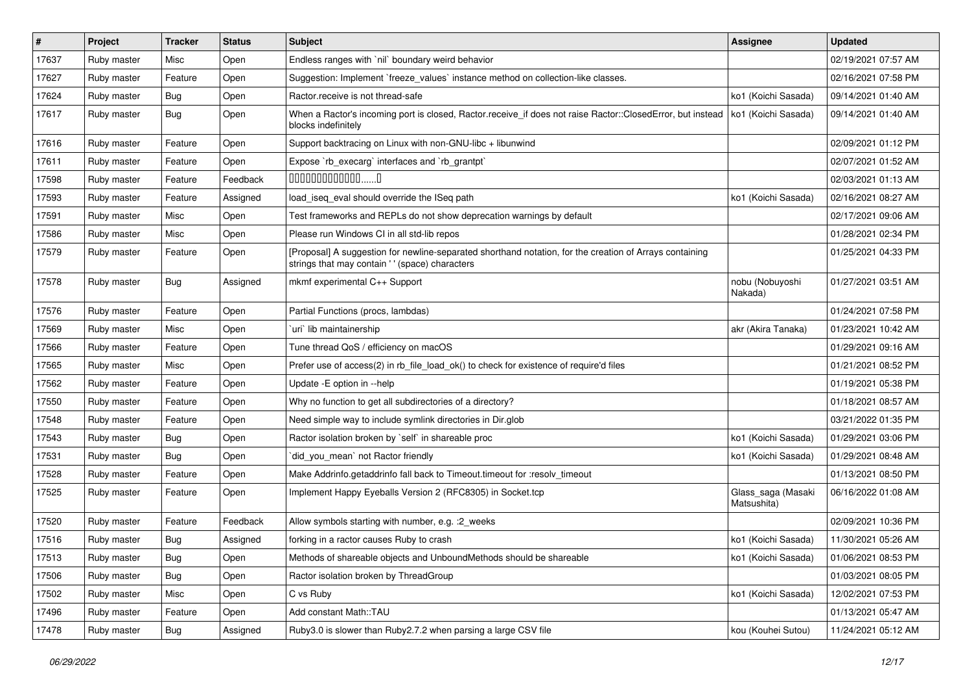| $\pmb{\#}$ | Project     | <b>Tracker</b> | <b>Status</b> | Subject                                                                                                                                                    | Assignee                          | <b>Updated</b>      |
|------------|-------------|----------------|---------------|------------------------------------------------------------------------------------------------------------------------------------------------------------|-----------------------------------|---------------------|
| 17637      | Ruby master | Misc           | Open          | Endless ranges with `nil` boundary weird behavior                                                                                                          |                                   | 02/19/2021 07:57 AM |
| 17627      | Ruby master | Feature        | Open          | Suggestion: Implement `freeze_values` instance method on collection-like classes.                                                                          |                                   | 02/16/2021 07:58 PM |
| 17624      | Ruby master | Bug            | Open          | Ractor.receive is not thread-safe                                                                                                                          | ko1 (Koichi Sasada)               | 09/14/2021 01:40 AM |
| 17617      | Ruby master | <b>Bug</b>     | Open          | When a Ractor's incoming port is closed, Ractor.receive_if does not raise Ractor::ClosedError, but instead<br>blocks indefinitely                          | ko1 (Koichi Sasada)               | 09/14/2021 01:40 AM |
| 17616      | Ruby master | Feature        | Open          | Support backtracing on Linux with non-GNU-libc + libunwind                                                                                                 |                                   | 02/09/2021 01:12 PM |
| 17611      | Ruby master | Feature        | Open          | Expose `rb_execarg` interfaces and `rb_grantpt`                                                                                                            |                                   | 02/07/2021 01:52 AM |
| 17598      | Ruby master | Feature        | Feedback      | $0000000000000010$                                                                                                                                         |                                   | 02/03/2021 01:13 AM |
| 17593      | Ruby master | Feature        | Assigned      | load_iseq_eval should override the ISeq path                                                                                                               | ko1 (Koichi Sasada)               | 02/16/2021 08:27 AM |
| 17591      | Ruby master | Misc           | Open          | Test frameworks and REPLs do not show deprecation warnings by default                                                                                      |                                   | 02/17/2021 09:06 AM |
| 17586      | Ruby master | Misc           | Open          | Please run Windows CI in all std-lib repos                                                                                                                 |                                   | 01/28/2021 02:34 PM |
| 17579      | Ruby master | Feature        | Open          | [Proposal] A suggestion for newline-separated shorthand notation, for the creation of Arrays containing<br>strings that may contain ' ' (space) characters |                                   | 01/25/2021 04:33 PM |
| 17578      | Ruby master | Bug            | Assigned      | mkmf experimental C++ Support                                                                                                                              | nobu (Nobuyoshi<br>Nakada)        | 01/27/2021 03:51 AM |
| 17576      | Ruby master | Feature        | Open          | Partial Functions (procs, lambdas)                                                                                                                         |                                   | 01/24/2021 07:58 PM |
| 17569      | Ruby master | Misc           | Open          | uri lib maintainership                                                                                                                                     | akr (Akira Tanaka)                | 01/23/2021 10:42 AM |
| 17566      | Ruby master | Feature        | Open          | Tune thread QoS / efficiency on macOS                                                                                                                      |                                   | 01/29/2021 09:16 AM |
| 17565      | Ruby master | Misc           | Open          | Prefer use of access(2) in rb_file_load_ok() to check for existence of require'd files                                                                     |                                   | 01/21/2021 08:52 PM |
| 17562      | Ruby master | Feature        | Open          | Update -E option in --help                                                                                                                                 |                                   | 01/19/2021 05:38 PM |
| 17550      | Ruby master | Feature        | Open          | Why no function to get all subdirectories of a directory?                                                                                                  |                                   | 01/18/2021 08:57 AM |
| 17548      | Ruby master | Feature        | Open          | Need simple way to include symlink directories in Dir.glob                                                                                                 |                                   | 03/21/2022 01:35 PM |
| 17543      | Ruby master | <b>Bug</b>     | Open          | Ractor isolation broken by `self` in shareable proc                                                                                                        | ko1 (Koichi Sasada)               | 01/29/2021 03:06 PM |
| 17531      | Ruby master | <b>Bug</b>     | Open          | did_you_mean` not Ractor friendly                                                                                                                          | ko1 (Koichi Sasada)               | 01/29/2021 08:48 AM |
| 17528      | Ruby master | Feature        | Open          | Make Addrinfo.getaddrinfo fall back to Timeout.timeout for :resolv_timeout                                                                                 |                                   | 01/13/2021 08:50 PM |
| 17525      | Ruby master | Feature        | Open          | Implement Happy Eyeballs Version 2 (RFC8305) in Socket.tcp                                                                                                 | Glass_saga (Masaki<br>Matsushita) | 06/16/2022 01:08 AM |
| 17520      | Ruby master | Feature        | Feedback      | Allow symbols starting with number, e.g. : 2_weeks                                                                                                         |                                   | 02/09/2021 10:36 PM |
| 17516      | Ruby master | <b>Bug</b>     | Assigned      | forking in a ractor causes Ruby to crash                                                                                                                   | ko1 (Koichi Sasada)               | 11/30/2021 05:26 AM |
| 17513      | Ruby master | Bug            | Open          | Methods of shareable objects and UnboundMethods should be shareable                                                                                        | ko1 (Koichi Sasada)               | 01/06/2021 08:53 PM |
| 17506      | Ruby master | <b>Bug</b>     | Open          | Ractor isolation broken by ThreadGroup                                                                                                                     |                                   | 01/03/2021 08:05 PM |
| 17502      | Ruby master | Misc           | Open          | C vs Ruby                                                                                                                                                  | ko1 (Koichi Sasada)               | 12/02/2021 07:53 PM |
| 17496      | Ruby master | Feature        | Open          | Add constant Math::TAU                                                                                                                                     |                                   | 01/13/2021 05:47 AM |
| 17478      | Ruby master | <b>Bug</b>     | Assigned      | Ruby3.0 is slower than Ruby2.7.2 when parsing a large CSV file                                                                                             | kou (Kouhei Sutou)                | 11/24/2021 05:12 AM |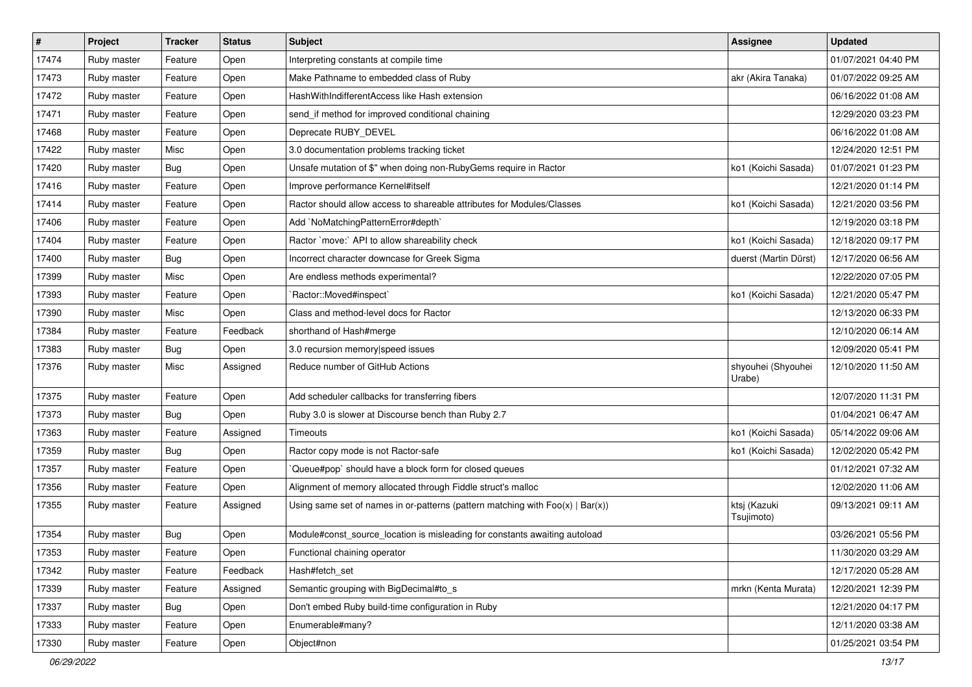| $\vert$ # | Project     | <b>Tracker</b> | <b>Status</b> | Subject                                                                           | <b>Assignee</b>              | <b>Updated</b>      |
|-----------|-------------|----------------|---------------|-----------------------------------------------------------------------------------|------------------------------|---------------------|
| 17474     | Ruby master | Feature        | Open          | Interpreting constants at compile time                                            |                              | 01/07/2021 04:40 PM |
| 17473     | Ruby master | Feature        | Open          | Make Pathname to embedded class of Ruby                                           | akr (Akira Tanaka)           | 01/07/2022 09:25 AM |
| 17472     | Ruby master | Feature        | Open          | HashWithIndifferentAccess like Hash extension                                     |                              | 06/16/2022 01:08 AM |
| 17471     | Ruby master | Feature        | Open          | send_if method for improved conditional chaining                                  |                              | 12/29/2020 03:23 PM |
| 17468     | Ruby master | Feature        | Open          | Deprecate RUBY_DEVEL                                                              |                              | 06/16/2022 01:08 AM |
| 17422     | Ruby master | Misc           | Open          | 3.0 documentation problems tracking ticket                                        |                              | 12/24/2020 12:51 PM |
| 17420     | Ruby master | Bug            | Open          | Unsafe mutation of \$" when doing non-RubyGems require in Ractor                  | ko1 (Koichi Sasada)          | 01/07/2021 01:23 PM |
| 17416     | Ruby master | Feature        | Open          | Improve performance Kernel#itself                                                 |                              | 12/21/2020 01:14 PM |
| 17414     | Ruby master | Feature        | Open          | Ractor should allow access to shareable attributes for Modules/Classes            | ko1 (Koichi Sasada)          | 12/21/2020 03:56 PM |
| 17406     | Ruby master | Feature        | Open          | Add `NoMatchingPatternError#depth`                                                |                              | 12/19/2020 03:18 PM |
| 17404     | Ruby master | Feature        | Open          | Ractor `move:` API to allow shareability check                                    | ko1 (Koichi Sasada)          | 12/18/2020 09:17 PM |
| 17400     | Ruby master | Bug            | Open          | Incorrect character downcase for Greek Sigma                                      | duerst (Martin Dürst)        | 12/17/2020 06:56 AM |
| 17399     | Ruby master | Misc           | Open          | Are endless methods experimental?                                                 |                              | 12/22/2020 07:05 PM |
| 17393     | Ruby master | Feature        | Open          | 'Ractor::Moved#inspect'                                                           | ko1 (Koichi Sasada)          | 12/21/2020 05:47 PM |
| 17390     | Ruby master | Misc           | Open          | Class and method-level docs for Ractor                                            |                              | 12/13/2020 06:33 PM |
| 17384     | Ruby master | Feature        | Feedback      | shorthand of Hash#merge                                                           |                              | 12/10/2020 06:14 AM |
| 17383     | Ruby master | <b>Bug</b>     | Open          | 3.0 recursion memory speed issues                                                 |                              | 12/09/2020 05:41 PM |
| 17376     | Ruby master | Misc           | Assigned      | Reduce number of GitHub Actions                                                   | shyouhei (Shyouhei<br>Urabe) | 12/10/2020 11:50 AM |
| 17375     | Ruby master | Feature        | Open          | Add scheduler callbacks for transferring fibers                                   |                              | 12/07/2020 11:31 PM |
| 17373     | Ruby master | <b>Bug</b>     | Open          | Ruby 3.0 is slower at Discourse bench than Ruby 2.7                               |                              | 01/04/2021 06:47 AM |
| 17363     | Ruby master | Feature        | Assigned      | <b>Timeouts</b>                                                                   | ko1 (Koichi Sasada)          | 05/14/2022 09:06 AM |
| 17359     | Ruby master | <b>Bug</b>     | Open          | Ractor copy mode is not Ractor-safe                                               | ko1 (Koichi Sasada)          | 12/02/2020 05:42 PM |
| 17357     | Ruby master | Feature        | Open          | Queue#pop` should have a block form for closed queues                             |                              | 01/12/2021 07:32 AM |
| 17356     | Ruby master | Feature        | Open          | Alignment of memory allocated through Fiddle struct's malloc                      |                              | 12/02/2020 11:06 AM |
| 17355     | Ruby master | Feature        | Assigned      | Using same set of names in or-patterns (pattern matching with $Foo(x)   Bar(x)$ ) | ktsj (Kazuki<br>Tsujimoto)   | 09/13/2021 09:11 AM |
| 17354     | Ruby master | <b>Bug</b>     | Open          | Module#const_source_location is misleading for constants awaiting autoload        |                              | 03/26/2021 05:56 PM |
| 17353     | Ruby master | Feature        | Open          | Functional chaining operator                                                      |                              | 11/30/2020 03:29 AM |
| 17342     | Ruby master | Feature        | Feedback      | Hash#fetch_set                                                                    |                              | 12/17/2020 05:28 AM |
| 17339     | Ruby master | Feature        | Assigned      | Semantic grouping with BigDecimal#to_s                                            | mrkn (Kenta Murata)          | 12/20/2021 12:39 PM |
| 17337     | Ruby master | <b>Bug</b>     | Open          | Don't embed Ruby build-time configuration in Ruby                                 |                              | 12/21/2020 04:17 PM |
| 17333     | Ruby master | Feature        | Open          | Enumerable#many?                                                                  |                              | 12/11/2020 03:38 AM |
| 17330     | Ruby master | Feature        | Open          | Object#non                                                                        |                              | 01/25/2021 03:54 PM |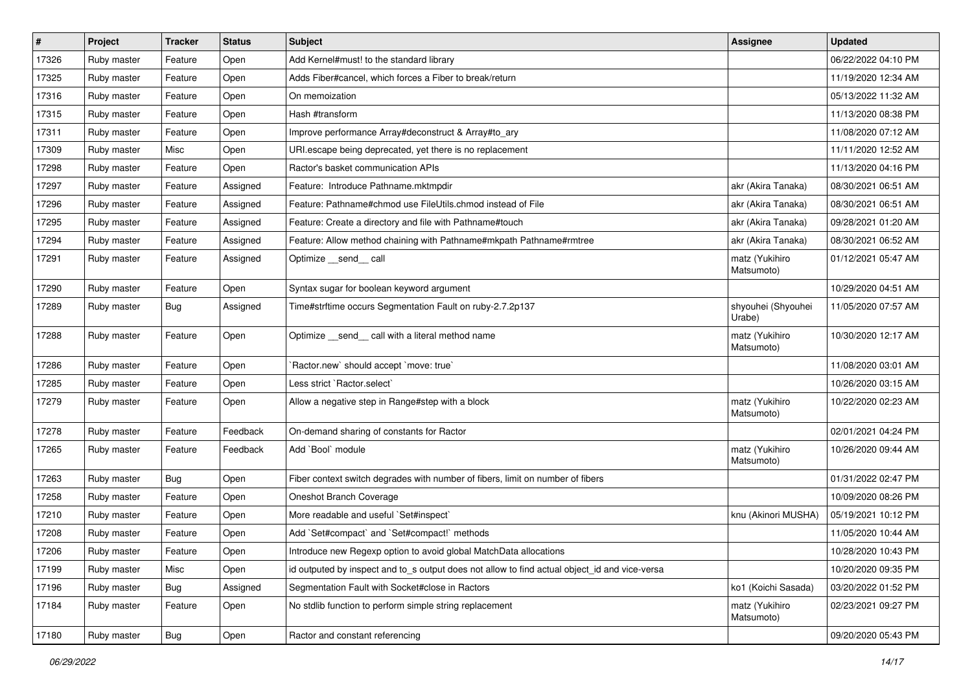| $\pmb{\#}$ | Project     | <b>Tracker</b> | <b>Status</b> | <b>Subject</b>                                                                                | <b>Assignee</b>              | <b>Updated</b>      |
|------------|-------------|----------------|---------------|-----------------------------------------------------------------------------------------------|------------------------------|---------------------|
| 17326      | Ruby master | Feature        | Open          | Add Kernel#must! to the standard library                                                      |                              | 06/22/2022 04:10 PM |
| 17325      | Ruby master | Feature        | Open          | Adds Fiber#cancel, which forces a Fiber to break/return                                       |                              | 11/19/2020 12:34 AM |
| 17316      | Ruby master | Feature        | Open          | On memoization                                                                                |                              | 05/13/2022 11:32 AM |
| 17315      | Ruby master | Feature        | Open          | Hash #transform                                                                               |                              | 11/13/2020 08:38 PM |
| 17311      | Ruby master | Feature        | Open          | Improve performance Array#deconstruct & Array#to_ary                                          |                              | 11/08/2020 07:12 AM |
| 17309      | Ruby master | Misc           | Open          | URI.escape being deprecated, yet there is no replacement                                      |                              | 11/11/2020 12:52 AM |
| 17298      | Ruby master | Feature        | Open          | Ractor's basket communication APIs                                                            |                              | 11/13/2020 04:16 PM |
| 17297      | Ruby master | Feature        | Assigned      | Feature: Introduce Pathname.mktmpdir                                                          | akr (Akira Tanaka)           | 08/30/2021 06:51 AM |
| 17296      | Ruby master | Feature        | Assigned      | Feature: Pathname#chmod use FileUtils.chmod instead of File                                   | akr (Akira Tanaka)           | 08/30/2021 06:51 AM |
| 17295      | Ruby master | Feature        | Assigned      | Feature: Create a directory and file with Pathname#touch                                      | akr (Akira Tanaka)           | 09/28/2021 01:20 AM |
| 17294      | Ruby master | Feature        | Assigned      | Feature: Allow method chaining with Pathname#mkpath Pathname#rmtree                           | akr (Akira Tanaka)           | 08/30/2021 06:52 AM |
| 17291      | Ruby master | Feature        | Assigned      | Optimize send call                                                                            | matz (Yukihiro<br>Matsumoto) | 01/12/2021 05:47 AM |
| 17290      | Ruby master | Feature        | Open          | Syntax sugar for boolean keyword argument                                                     |                              | 10/29/2020 04:51 AM |
| 17289      | Ruby master | <b>Bug</b>     | Assigned      | Time#strftime occurs Segmentation Fault on ruby-2.7.2p137                                     | shyouhei (Shyouhei<br>Urabe) | 11/05/2020 07:57 AM |
| 17288      | Ruby master | Feature        | Open          | Optimize _send_ call with a literal method name                                               | matz (Yukihiro<br>Matsumoto) | 10/30/2020 12:17 AM |
| 17286      | Ruby master | Feature        | Open          | Ractor.new' should accept 'move: true'                                                        |                              | 11/08/2020 03:01 AM |
| 17285      | Ruby master | Feature        | Open          | Less strict `Ractor.select`                                                                   |                              | 10/26/2020 03:15 AM |
| 17279      | Ruby master | Feature        | Open          | Allow a negative step in Range#step with a block                                              | matz (Yukihiro<br>Matsumoto) | 10/22/2020 02:23 AM |
| 17278      | Ruby master | Feature        | Feedback      | On-demand sharing of constants for Ractor                                                     |                              | 02/01/2021 04:24 PM |
| 17265      | Ruby master | Feature        | Feedback      | Add `Bool` module                                                                             | matz (Yukihiro<br>Matsumoto) | 10/26/2020 09:44 AM |
| 17263      | Ruby master | Bug            | Open          | Fiber context switch degrades with number of fibers, limit on number of fibers                |                              | 01/31/2022 02:47 PM |
| 17258      | Ruby master | Feature        | Open          | Oneshot Branch Coverage                                                                       |                              | 10/09/2020 08:26 PM |
| 17210      | Ruby master | Feature        | Open          | More readable and useful `Set#inspect`                                                        | knu (Akinori MUSHA)          | 05/19/2021 10:12 PM |
| 17208      | Ruby master | Feature        | Open          | Add `Set#compact` and `Set#compact!` methods                                                  |                              | 11/05/2020 10:44 AM |
| 17206      | Ruby master | Feature        | Open          | Introduce new Regexp option to avoid global MatchData allocations                             |                              | 10/28/2020 10:43 PM |
| 17199      | Ruby master | Misc           | Open          | id outputed by inspect and to s output does not allow to find actual object_id and vice-versa |                              | 10/20/2020 09:35 PM |
| 17196      | Ruby master | Bug            | Assigned      | Segmentation Fault with Socket#close in Ractors                                               | ko1 (Koichi Sasada)          | 03/20/2022 01:52 PM |
| 17184      | Ruby master | Feature        | Open          | No stdlib function to perform simple string replacement                                       | matz (Yukihiro<br>Matsumoto) | 02/23/2021 09:27 PM |
| 17180      | Ruby master | <b>Bug</b>     | Open          | Ractor and constant referencing                                                               |                              | 09/20/2020 05:43 PM |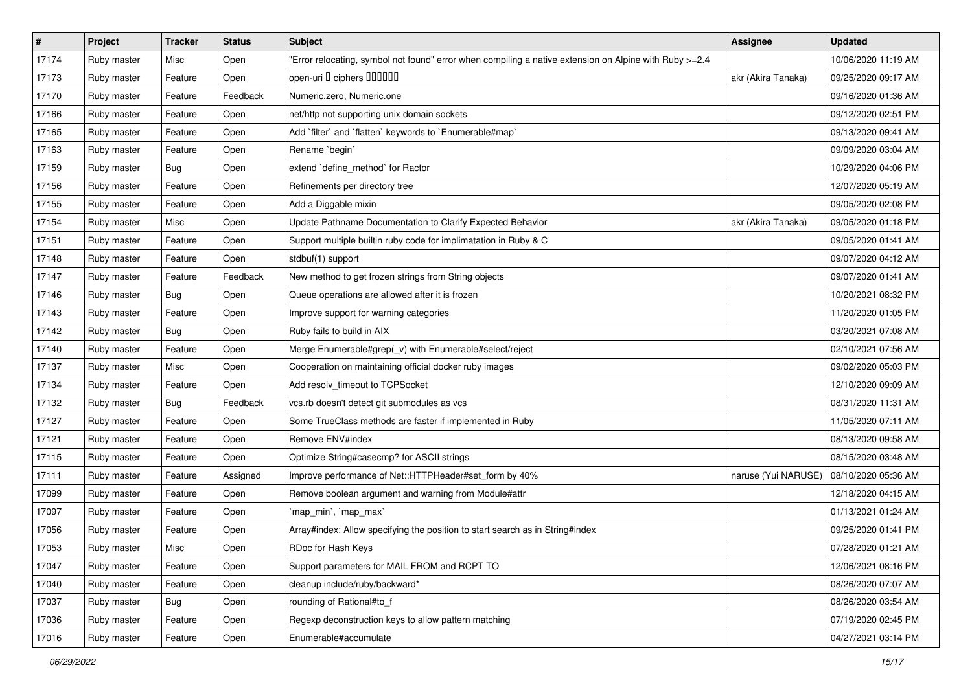| $\vert$ # | Project     | <b>Tracker</b> | <b>Status</b> | <b>Subject</b>                                                                                        | <b>Assignee</b>     | <b>Updated</b>      |
|-----------|-------------|----------------|---------------|-------------------------------------------------------------------------------------------------------|---------------------|---------------------|
| 17174     | Ruby master | Misc           | Open          | Error relocating, symbol not found" error when compiling a native extension on Alpine with Ruby >=2.4 |                     | 10/06/2020 11:19 AM |
| 17173     | Ruby master | Feature        | Open          | open-uri I ciphers IIIIIII                                                                            | akr (Akira Tanaka)  | 09/25/2020 09:17 AM |
| 17170     | Ruby master | Feature        | Feedback      | Numeric.zero, Numeric.one                                                                             |                     | 09/16/2020 01:36 AM |
| 17166     | Ruby master | Feature        | Open          | net/http not supporting unix domain sockets                                                           |                     | 09/12/2020 02:51 PM |
| 17165     | Ruby master | Feature        | Open          | Add 'filter' and 'flatten' keywords to 'Enumerable#map'                                               |                     | 09/13/2020 09:41 AM |
| 17163     | Ruby master | Feature        | Open          | Rename `begin`                                                                                        |                     | 09/09/2020 03:04 AM |
| 17159     | Ruby master | Bug            | Open          | extend 'define_method' for Ractor                                                                     |                     | 10/29/2020 04:06 PM |
| 17156     | Ruby master | Feature        | Open          | Refinements per directory tree                                                                        |                     | 12/07/2020 05:19 AM |
| 17155     | Ruby master | Feature        | Open          | Add a Diggable mixin                                                                                  |                     | 09/05/2020 02:08 PM |
| 17154     | Ruby master | Misc           | Open          | Update Pathname Documentation to Clarify Expected Behavior                                            | akr (Akira Tanaka)  | 09/05/2020 01:18 PM |
| 17151     | Ruby master | Feature        | Open          | Support multiple builtin ruby code for implimatation in Ruby & C                                      |                     | 09/05/2020 01:41 AM |
| 17148     | Ruby master | Feature        | Open          | stdbuf(1) support                                                                                     |                     | 09/07/2020 04:12 AM |
| 17147     | Ruby master | Feature        | Feedback      | New method to get frozen strings from String objects                                                  |                     | 09/07/2020 01:41 AM |
| 17146     | Ruby master | Bug            | Open          | Queue operations are allowed after it is frozen                                                       |                     | 10/20/2021 08:32 PM |
| 17143     | Ruby master | Feature        | Open          | Improve support for warning categories                                                                |                     | 11/20/2020 01:05 PM |
| 17142     | Ruby master | Bug            | Open          | Ruby fails to build in AIX                                                                            |                     | 03/20/2021 07:08 AM |
| 17140     | Ruby master | Feature        | Open          | Merge Enumerable#grep(_v) with Enumerable#select/reject                                               |                     | 02/10/2021 07:56 AM |
| 17137     | Ruby master | Misc           | Open          | Cooperation on maintaining official docker ruby images                                                |                     | 09/02/2020 05:03 PM |
| 17134     | Ruby master | Feature        | Open          | Add resolv_timeout to TCPSocket                                                                       |                     | 12/10/2020 09:09 AM |
| 17132     | Ruby master | Bug            | Feedback      | vcs.rb doesn't detect git submodules as vcs                                                           |                     | 08/31/2020 11:31 AM |
| 17127     | Ruby master | Feature        | Open          | Some TrueClass methods are faster if implemented in Ruby                                              |                     | 11/05/2020 07:11 AM |
| 17121     | Ruby master | Feature        | Open          | Remove ENV#index                                                                                      |                     | 08/13/2020 09:58 AM |
| 17115     | Ruby master | Feature        | Open          | Optimize String#casecmp? for ASCII strings                                                            |                     | 08/15/2020 03:48 AM |
| 17111     | Ruby master | Feature        | Assigned      | Improve performance of Net::HTTPHeader#set_form by 40%                                                | naruse (Yui NARUSE) | 08/10/2020 05:36 AM |
| 17099     | Ruby master | Feature        | Open          | Remove boolean argument and warning from Module#attr                                                  |                     | 12/18/2020 04:15 AM |
| 17097     | Ruby master | Feature        | Open          | `map_min`, `map_max`                                                                                  |                     | 01/13/2021 01:24 AM |
| 17056     | Ruby master | Feature        | Open          | Array#index: Allow specifying the position to start search as in String#index                         |                     | 09/25/2020 01:41 PM |
| 17053     | Ruby master | Misc           | Open          | RDoc for Hash Keys                                                                                    |                     | 07/28/2020 01:21 AM |
| 17047     | Ruby master | Feature        | Open          | Support parameters for MAIL FROM and RCPT TO                                                          |                     | 12/06/2021 08:16 PM |
| 17040     | Ruby master | Feature        | Open          | cleanup include/ruby/backward*                                                                        |                     | 08/26/2020 07:07 AM |
| 17037     | Ruby master | <b>Bug</b>     | Open          | rounding of Rational#to_f                                                                             |                     | 08/26/2020 03:54 AM |
| 17036     | Ruby master | Feature        | Open          | Regexp deconstruction keys to allow pattern matching                                                  |                     | 07/19/2020 02:45 PM |
| 17016     | Ruby master | Feature        | Open          | Enumerable#accumulate                                                                                 |                     | 04/27/2021 03:14 PM |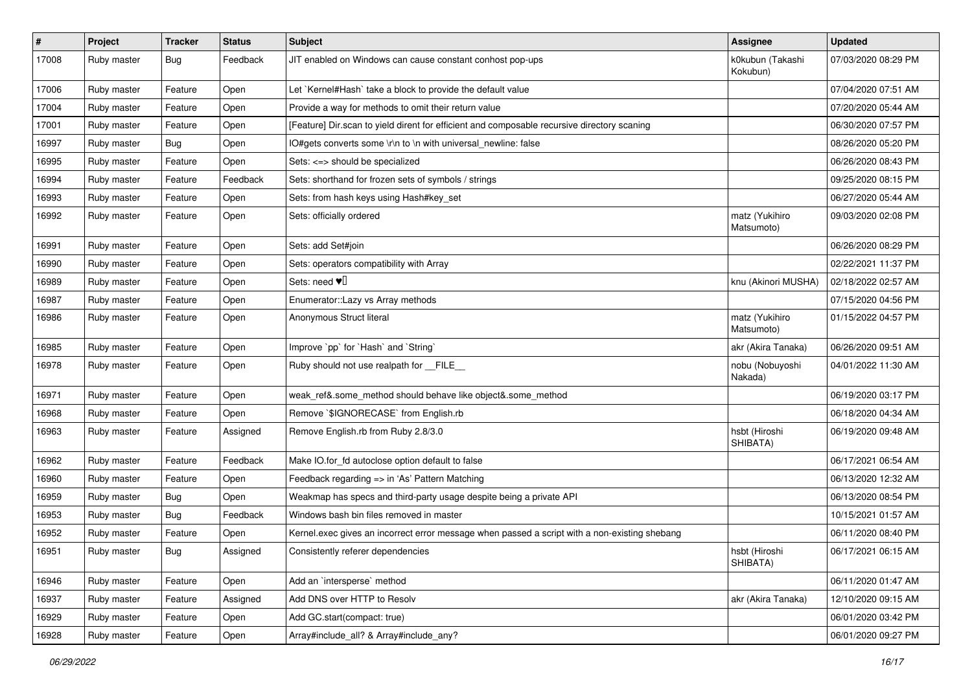| $\sharp$ | Project     | <b>Tracker</b> | <b>Status</b> | Subject                                                                                       | <b>Assignee</b>              | <b>Updated</b>      |
|----------|-------------|----------------|---------------|-----------------------------------------------------------------------------------------------|------------------------------|---------------------|
| 17008    | Ruby master | Bug            | Feedback      | JIT enabled on Windows can cause constant conhost pop-ups                                     | k0kubun (Takashi<br>Kokubun) | 07/03/2020 08:29 PM |
| 17006    | Ruby master | Feature        | Open          | Let `Kernel#Hash` take a block to provide the default value                                   |                              | 07/04/2020 07:51 AM |
| 17004    | Ruby master | Feature        | Open          | Provide a way for methods to omit their return value                                          |                              | 07/20/2020 05:44 AM |
| 17001    | Ruby master | Feature        | Open          | [Feature] Dir.scan to yield dirent for efficient and composable recursive directory scaning   |                              | 06/30/2020 07:57 PM |
| 16997    | Ruby master | Bug            | Open          | IO#gets converts some \r\n to \n with universal newline: false                                |                              | 08/26/2020 05:20 PM |
| 16995    | Ruby master | Feature        | Open          | Sets: <=> should be specialized                                                               |                              | 06/26/2020 08:43 PM |
| 16994    | Ruby master | Feature        | Feedback      | Sets: shorthand for frozen sets of symbols / strings                                          |                              | 09/25/2020 08:15 PM |
| 16993    | Ruby master | Feature        | Open          | Sets: from hash keys using Hash#key_set                                                       |                              | 06/27/2020 05:44 AM |
| 16992    | Ruby master | Feature        | Open          | Sets: officially ordered                                                                      | matz (Yukihiro<br>Matsumoto) | 09/03/2020 02:08 PM |
| 16991    | Ruby master | Feature        | Open          | Sets: add Set#join                                                                            |                              | 06/26/2020 08:29 PM |
| 16990    | Ruby master | Feature        | Open          | Sets: operators compatibility with Array                                                      |                              | 02/22/2021 11:37 PM |
| 16989    | Ruby master | Feature        | Open          | Sets: need $\Psi$ <sup>[]</sup>                                                               | knu (Akinori MUSHA)          | 02/18/2022 02:57 AM |
| 16987    | Ruby master | Feature        | Open          | Enumerator::Lazy vs Array methods                                                             |                              | 07/15/2020 04:56 PM |
| 16986    | Ruby master | Feature        | Open          | Anonymous Struct literal                                                                      | matz (Yukihiro<br>Matsumoto) | 01/15/2022 04:57 PM |
| 16985    | Ruby master | Feature        | Open          | Improve `pp` for `Hash` and `String`                                                          | akr (Akira Tanaka)           | 06/26/2020 09:51 AM |
| 16978    | Ruby master | Feature        | Open          | Ruby should not use realpath for FILE                                                         | nobu (Nobuyoshi<br>Nakada)   | 04/01/2022 11:30 AM |
| 16971    | Ruby master | Feature        | Open          | weak_ref&.some_method should behave like object&.some_method                                  |                              | 06/19/2020 03:17 PM |
| 16968    | Ruby master | Feature        | Open          | Remove `\$IGNORECASE` from English.rb                                                         |                              | 06/18/2020 04:34 AM |
| 16963    | Ruby master | Feature        | Assigned      | Remove English.rb from Ruby 2.8/3.0                                                           | hsbt (Hiroshi<br>SHIBATA)    | 06/19/2020 09:48 AM |
| 16962    | Ruby master | Feature        | Feedback      | Make IO.for_fd autoclose option default to false                                              |                              | 06/17/2021 06:54 AM |
| 16960    | Ruby master | Feature        | Open          | Feedback regarding => in 'As' Pattern Matching                                                |                              | 06/13/2020 12:32 AM |
| 16959    | Ruby master | Bug            | Open          | Weakmap has specs and third-party usage despite being a private API                           |                              | 06/13/2020 08:54 PM |
| 16953    | Ruby master | Bug            | Feedback      | Windows bash bin files removed in master                                                      |                              | 10/15/2021 01:57 AM |
| 16952    | Ruby master | Feature        | Open          | Kernel.exec gives an incorrect error message when passed a script with a non-existing shebang |                              | 06/11/2020 08:40 PM |
| 16951    | Ruby master | Bug            | Assigned      | Consistently referer dependencies                                                             | hsbt (Hiroshi<br>SHIBATA)    | 06/17/2021 06:15 AM |
| 16946    | Ruby master | Feature        | Open          | Add an `intersperse` method                                                                   |                              | 06/11/2020 01:47 AM |
| 16937    | Ruby master | Feature        | Assigned      | Add DNS over HTTP to Resolv                                                                   | akr (Akira Tanaka)           | 12/10/2020 09:15 AM |
| 16929    | Ruby master | Feature        | Open          | Add GC.start(compact: true)                                                                   |                              | 06/01/2020 03:42 PM |
| 16928    | Ruby master | Feature        | Open          | Array#include_all? & Array#include_any?                                                       |                              | 06/01/2020 09:27 PM |